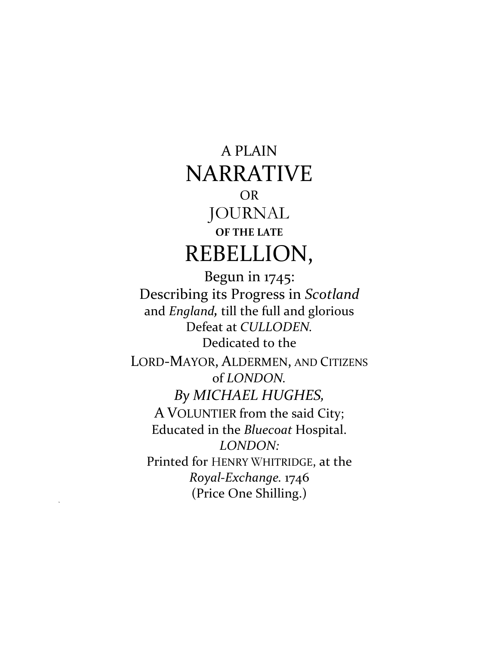## A PLAIN NARRATIVE OR JOURNAL **OF THE LATE** REBELLION,

Begun in 1745: Describing its Progress in *Scotland* and *England,* till the full and glorious Defeat at *CULLODEN.* Dedicated to the LORD-MAYOR, ALDERMEN, AND CITIZENS of *LONDON. By MICHAEL HUGHES,* A VOLUNTIER from the said City; Educated in the *Bluecoat* Hospital. *LONDON:* Printed for HENRY WHITRIDGE, at the *Royal-Exchange.* 1746 (Price One Shilling.)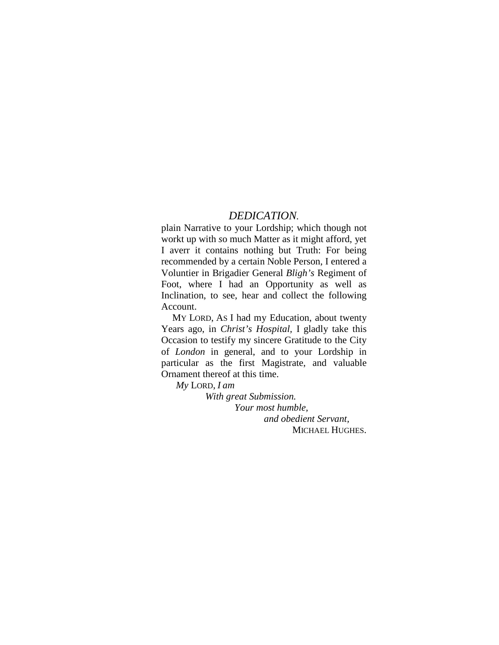#### *DEDICATION.*

plain Narrative to your Lordship; which though not workt up with *s*o much Matter as it might afford, yet I averr it contains nothing but Truth: For being recommended by a certain Noble Person, I entered a Voluntier in Brigadier General *Bligh's* Regiment of Foot, where I had an Opportunity as well as Inclination, to see, hear and collect the following Account.

MY LORD, AS I had my Education, about twenty Years ago, in *Christ's Hospital,* I gladly take this Occasion to testify my sincere Gratitude to the City of *London* in general, and to your Lordship in particular as the first Magistrate, and valuable Ornament thereof at this time.

*My* LORD, *I am*

*With great Submission.*

*Your most humble, and obedient Servant,* MICHAEL HUGHES.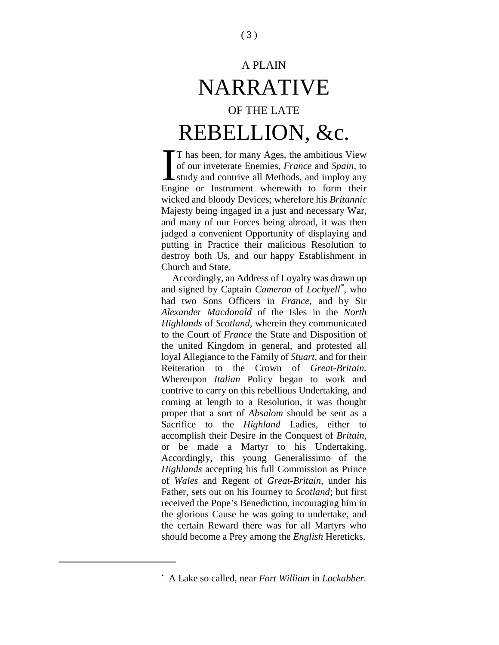# A PLAIN NARRATIVE OF THE LATE REBELLION, &c.

T has been, for many Ages, the ambitious View of our inveterate Enemies, *France* and *Spain,* to study and contrive all Methods, and imploy any Engine or Instrument wherewith to form their wicked and bloody Devices; wherefore his *Britannic*  Majesty being ingaged in a just and necessary War, and many of our Forces being abroad, it was then judged a convenient Opportunity of displaying and putting in Practice their malicious Resolution to destroy both Us, and our happy Establishment in Church and State.  $\prod_{\text{Eng}}$ 

Accordingly, an Address of Loyalty was drawn up and signed by Captain *Cameron* of *Lochyell[\\*](#page-2-0)* , who had two Sons Officers in *France,* and by Sir *Alexander Macdonald* of the Isles in the *North Highlands* of *Scotland,* wherein they communicated to the Court of *France* the State and Disposition of the united Kingdom in general, and protested all loyal Allegiance to the Family of *Stuart,* and for their Reiteration to the Crown of *Great-Britain.* Whereupon *Italian* Policy began to work and contrive to carry on this rebellious Undertaking, and coming at length to a Resolution, it was thought proper that a sort of *Absalom* should be sent as a Sacrifice to the *Highland* Ladies, either to accomplish their Desire in the Conquest of *Britain,*  or be made a Martyr to his Undertaking. Accordingly, this young Generalissimo of the *Highlands* accepting his full Commission as Prince of *Wales* and Regent of *Great-Britain,* under his Father, sets out on his Journey to *Scotland*; but first received the Pope's Benediction, incouraging him in the glorious Cause he was going to undertake, and the certain Reward there was for all Martyrs who should become a Prey among the *English* Hereticks.

<span id="page-2-0"></span>l

<sup>\*</sup> A Lake so called, near *Fort William* in *Lockabber.*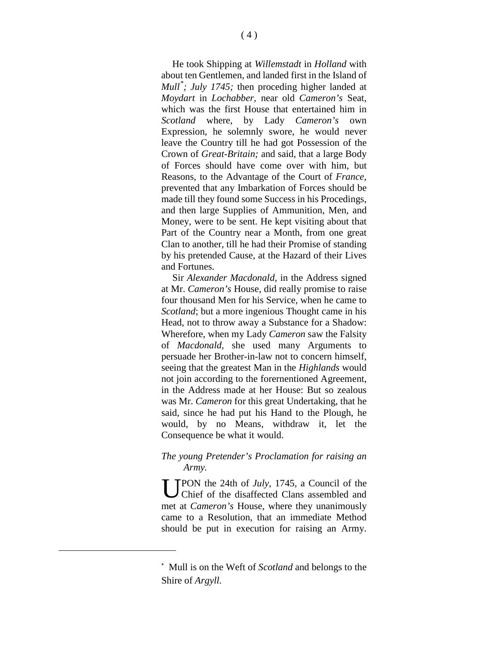He took Shipping at *Willemstadt* in *Holland* with about ten Gentlemen, and landed first in the Island of *Mull[\\*](#page-3-0) ; July 1745;* then proceding higher landed at *Moydart* in *Lochabber,* near old *Cameron's* Seat, which was the first House that entertained him in *Scotland* where, by Lady *Cameron's* own Expression, he solemnly swore, he would never leave the Country till he had got Possession of the Crown of *Great-Britain;* and said, that a large Body of Forces should have come over with him, but Reasons, to the Advantage of the Court of *France,*  prevented that any Imbarkation of Forces should be made till they found some Success in his Procedings, and then large Supplies of Ammunition, Men, and Money, were to be sent. He kept visiting about that Part of the Country near a Month, from one great Clan to another, till he had their Promise of standing by his pretended Cause, at the Hazard of their Lives and Fortunes.

Sir *Alexander Macdonald,* in the Address signed at Mr. *Cameron's* House, did really promise to raise four thousand Men for his Service, when he came to *Scotland*; but a more ingenious Thought came in his Head, not to throw away a Substance for a Shadow: Wherefore, when my Lady *Cameron* saw the Falsity of *Macdonald,* she used many Arguments to persuade her Brother-in-law not to concern himself, seeing that the greatest Man in the *Highlands* would not join according to the forernentioned Agreement, in the Address made at her House: But so zealous was Mr. *Cameron* for this great Undertaking, that he said, since he had put his Hand to the Plough, he would, by no Means, withdraw it, let the Consequence be what it would.

#### *The young Pretender's Proclamation for raising an Army.*

PON the 24th of *July,* 1745, a Council of the Chief of the disaffected Clans assembled and met at *Cameron's* House, where they unanimously came to a Resolution, that an immediate Method should be put in execution for raising an Army. U

<span id="page-3-0"></span><sup>\*</sup> Mull is on the Weft of *Scotland* and belongs to the Shire of *Argyll.*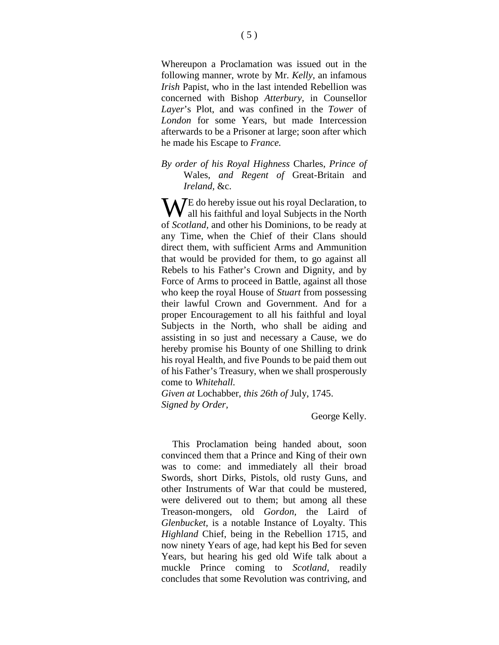Whereupon a Proclamation was issued out in the following manner, wrote by Mr. *Kelly,* an infamous *Irish* Papist, who in the last intended Rebellion was concerned with Bishop *Atterbury,* in Counsellor *Layer*'s Plot, and was confined in the *Tower* of *London* for some Years, but made Intercession afterwards to be a Prisoner at large; soon after which he made his Escape to *France.*

*By order of his Royal Highness* Charles, *Prince of*  Wales, *and Regent of* Great-Britain and *Ireland,* &c.

WE do hereby issue out his royal Declaration, to all his faithful and loyal Subjects in the North all his faithful and loyal Subjects in the North of *Scotland,* and other his Dominions, to be ready at any Time, when the Chief of their Clans should direct them, with sufficient Arms and Ammunition that would be provided for them, to go against all Rebels to his Father's Crown and Dignity, and by Force of Arms to proceed in Battle, against all those who keep the royal House of *Stuart* from possessing their lawful Crown and Government. And for a proper Encouragement to all his faithful and loyal Subjects in the North, who shall be aiding and assisting in so just and necessary a Cause, we do hereby promise his Bounty of one Shilling to drink his royal Health, and five Pounds to be paid them out of his Father's Treasury, when we shall prosperously come to *Whitehall.*

*Given at* Lochabber, *this 26th of* July, 1745. *Signed by Order,*

George Kelly.

This Proclamation being handed about, soon convinced them that a Prince and King of their own was to come: and immediately all their broad Swords, short Dirks, Pistols, old rusty Guns, and other Instruments of War that could be mustered, were delivered out to them; but among all these Treason-mongers, old *Gordon,* the Laird of *Glenbucket,* is a notable Instance of Loyalty. This *Highland* Chief, being in the Rebellion 1715, and now ninety Years of age, had kept his Bed for seven Years, but hearing his ged old Wife talk about a muckle Prince coming to *Scotland,* readily concludes that some Revolution was contriving, and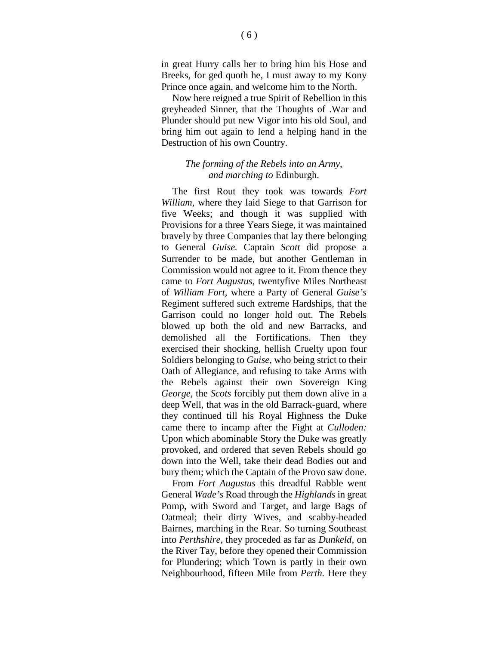in great Hurry calls her to bring him his Hose and Breeks, for ged quoth he, I must away to my Kony Prince once again, and welcome him to the North.

Now here reigned a true Spirit of Rebellion in this greyheaded Sinner, that the Thoughts of .War and Plunder should put new Vigor into his old Soul, and bring him out again to lend a helping hand in the Destruction of his own Country.

#### *The forming of the Rebels into an Army, and marching to* Edinburgh.

The first Rout they took was towards *Fort William,* where they laid Siege to that Garrison for five Weeks; and though it was supplied with Provisions for a three Years Siege, it was maintained bravely by three Companies that lay there belonging to General *Guise.* Captain *Scott* did propose a Surrender to be made, but another Gentleman in Commission would not agree to it. From thence they came to *Fort Augustus,* twentyfive Miles Northeast of *William Fort,* where a Party of General *Guise's*  Regiment suffered such extreme Hardships, that the Garrison could no longer hold out. The Rebels blowed up both the old and new Barracks, and demolished all the Fortifications. Then they exercised their shocking, hellish Cruelty upon four Soldiers belonging to *Guise,* who being strict to their Oath of Allegiance, and refusing to take Arms with the Rebels against their own Sovereign King *George,* the *Scots* forcibly put them down alive in a deep Well, that was in the old Barrack-guard, where they continued till his Royal Highness the Duke came there to incamp after the Fight at *Culloden:* Upon which abominable Story the Duke was greatly provoked, and ordered that seven Rebels should go down into the Well, take their dead Bodies out and bury them; which the Captain of the Provo saw done.

From *Fort Augustus* this dreadful Rabble went General *Wade's* Road through the *Highlands* in great Pomp, with Sword and Target, and large Bags of Oatmeal; their dirty Wives, and scabby-headed Bairnes, marching in the Rear. So turning Southeast into *Perthshire,* they proceded as far as *Dunkeld,* on the River Tay, before they opened their Commission for Plundering; which Town is partly in their own Neighbourhood, fifteen Mile from *Perth.* Here they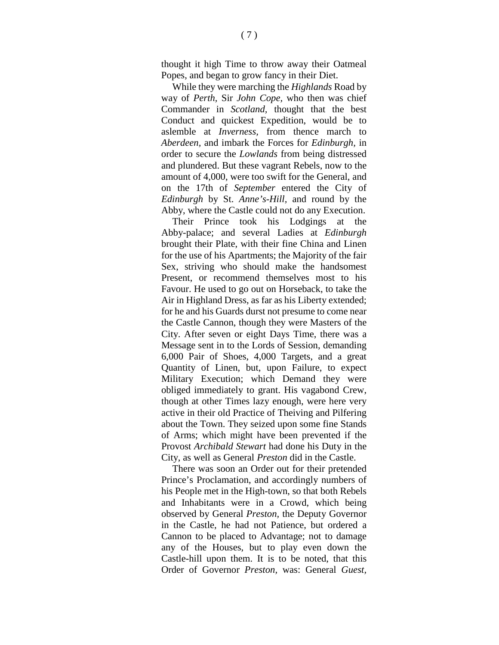thought it high Time to throw away their Oatmeal Popes, and began to grow fancy in their Diet.

While they were marching the *Highlands* Road by way of *Perth,* Sir *John Cope,* who then was chief Commander in *Scotland,* thought that the best Conduct and quickest Expedition, would be to aslemble at *Inverness,* from thence march to *Aberdeen,* and imbark the Forces for *Edinburgh,* in order to secure the *Lowlands* from being distressed and plundered. But these vagrant Rebels, now to the amount of 4,000, were too swift for the General, and on the 17th of *September* entered the City of *Edinburgh* by St. *Anne's-Hill,* and round by the Abby, where the Castle could not do any Execution.

Their Prince took his Lodgings at the Abby-palace; and several Ladies at *Edinburgh*  brought their Plate, with their fine China and Linen for the use of his Apartments; the Majority of the fair Sex, striving who should make the handsomest Present, or recommend themselves most to his Favour. He used to go out on Horseback, to take the Air in Highland Dress, as far as his Liberty extended; for he and his Guards durst not presume to come near the Castle Cannon, though they were Masters of the City. After seven or eight Days Time, there was a Message sent in to the Lords of Session, demanding 6,000 Pair of Shoes, 4,000 Targets, and a great Quantity of Linen, but, upon Failure, to expect Military Execution; which Demand they were obliged immediately to grant. His vagabond Crew, though at other Times lazy enough, were here very active in their old Practice of Theiving and Pilfering about the Town. They seized upon some fine Stands of Arms; which might have been prevented if the Provost *Archibald Stewart* had done his Duty in the City, as well as General *Preston* did in the Castle.

There was soon an Order out for their pretended Prince's Proclamation, and accordingly numbers of his People met in the High-town, so that both Rebels and Inhabitants were in a Crowd, which being observed by General *Preston,* the Deputy Governor in the Castle, he had not Patience, but ordered a Cannon to be placed to Advantage; not to damage any of the Houses, but to play even down the Castle-hill upon them. It is to be noted, that this Order of Governor *Preston,* was: General *Guest,*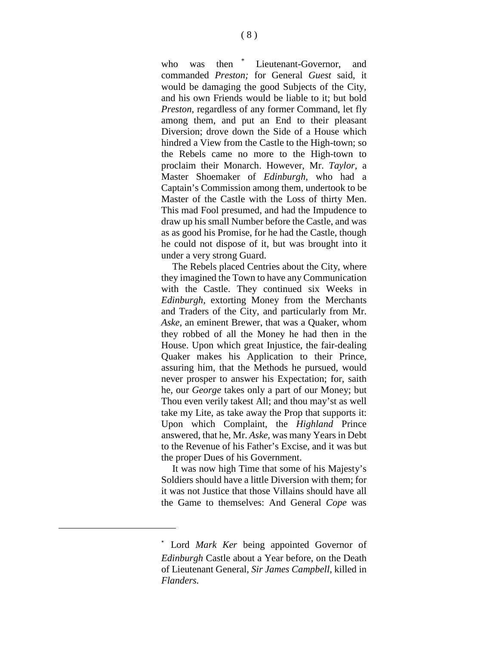who was then <sup>[\\*](#page-7-0)</sup> Lieutenant-Governor, and commanded *Preston;* for General *Guest* said, it would be damaging the good Subjects of the City, and his own Friends would be liable to it; but bold *Preston,* regardless of any former Command, let fly among them, and put an End to their pleasant Diversion; drove down the Side of a House which hindred a View from the Castle to the High-town; so the Rebels came no more to the High-town to proclaim their Monarch. However, Mr. *Taylor,* a Master Shoemaker of *Edinburgh,* who had a Captain's Commission among them, undertook to be Master of the Castle with the Loss of thirty Men. This mad Fool presumed, and had the Impudence to draw up his small Number before the Castle, and was as as good his Promise, for he had the Castle, though he could not dispose of it, but was brought into it under a very strong Guard.

The Rebels placed Centries about the City, where they imagined the Town to have any Communication with the Castle. They continued six Weeks in *Edinburgh,* extorting Money from the Merchants and Traders of the City, and particularly from Mr. *Aske,* an eminent Brewer, that was a Quaker, whom they robbed of all the Money he had then in the House. Upon which great Injustice, the fair-dealing Quaker makes his Application to their Prince, assuring him, that the Methods he pursued, would never prosper to answer his Expectation; for, saith he, our *George* takes only a part of our Money; but Thou even verily takest All; and thou may'st as well take my Lite, as take away the Prop that supports it: Upon which Complaint, the *Highland* Prince answered, that he, Mr. *Aske,* was many Years in Debt to the Revenue of his Father's Excise, and it was but the proper Dues of his Government.

It was now high Time that some of his Majesty's Soldiers should have a little Diversion with them; for it was not Justice that those Villains should have all the Game to themselves: And General *Cope* was

<span id="page-7-0"></span><sup>\*</sup> Lord *Mark Ker* being appointed Governor of *Edinburgh* Castle about a Year before, on the Death of Lieutenant General, *Sir James Campbell*, killed in *Flanders.*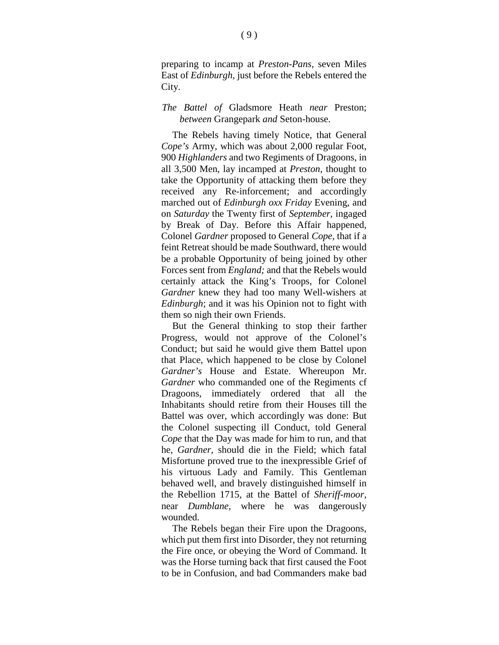preparing to incamp at *Preston-Pans,* seven Miles East of *Edinburgh,* just before the Rebels entered the City.

#### *The Battel of* Gladsmore Heath *near* Preston; *between* Grangepark *and* Seton-house.

The Rebels having timely Notice, that General *Cope's* Army, which was about 2,000 regular Foot, 900 *Highlanders* and two Regiments of Dragoons, in all 3,500 Men, lay incamped at *Preston,* thought to take the Opportunity of attacking them before they received any Re-inforcement; and accordingly marched out of *Edinburgh oxx Friday* Evening, and on *Saturday* the Twenty first of *September,* ingaged by Break of Day. Before this Affair happened, Colonel *Gardner* proposed to General *Cope,* that if a feint Retreat should be made Southward, there would be a probable Opportunity of being joined by other Forces sent from *England;* and that the Rebels would certainly attack the King's Troops, for Colonel *Gardner* knew they had too many Well-wishers at *Edinburgh*; and it was his Opinion not to fight with them so nigh their own Friends.

But the General thinking to stop their farther Progress, would not approve of the Colonel's Conduct; but said he would give them Battel upon that Place, which happened to be close by Colonel *Gardner's* House and Estate. Whereupon Mr. *Gardner* who commanded one of the Regiments cf Dragoons, immediately ordered that all the Inhabitants should retire from their Houses till the Battel was over, which accordingly was done: But the Colonel suspecting ill Conduct, told General *Cope* that the Day was made for him to run, and that he, *Gardner,* should die in the Field; which fatal Misfortune proved true to the inexpressible Grief of his virtuous Lady and Family. This Gentleman behaved well, and bravely distinguished himself in the Rebellion 1715, at the Battel of *Sheriff-moor,* near *Dumblane,* where he was dangerously wounded.

The Rebels began their Fire upon the Dragoons, which put them first into Disorder, they not returning the Fire once, or obeying the Word of Command. It was the Horse turning back that first caused the Foot to be in Confusion, and bad Commanders make bad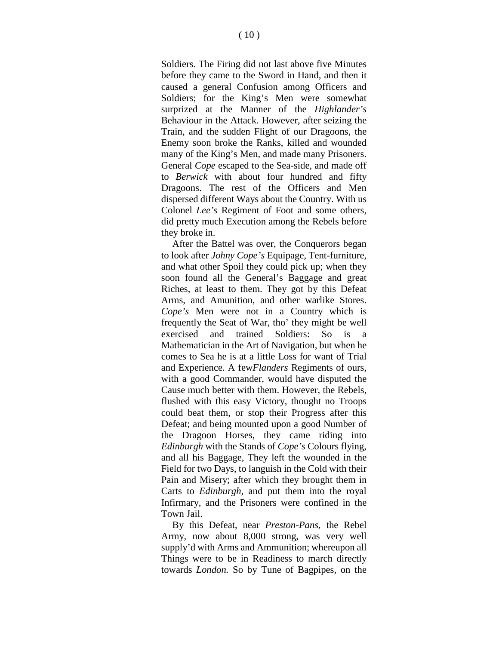Soldiers. The Firing did not last above five Minutes before they came to the Sword in Hand, and then it caused a general Confusion among Officers and Soldiers; for the King's Men were somewhat surprized at the Manner of the *Highlander's*  Behaviour in the Attack. However, after seizing the Train, and the sudden Flight of our Dragoons, the Enemy soon broke the Ranks, killed and wounded many of the King's Men, and made many Prisoners. General *Cope* escaped to the Sea-side, and made off to *Berwick* with about four hundred and fifty Dragoons. The rest of the Officers and Men dispersed different Ways about the Country. With us Colonel *Lee's* Regiment of Foot and some others, did pretty much Execution among the Rebels before they broke in.

After the Battel was over, the Conquerors began to look after *Johny Cope's* Equipage, Tent-furniture, and what other Spoil they could pick up; when they soon found all the General's Baggage and great Riches, at least to them. They got by this Defeat Arms, and Amunition, and other warlike Stores. *Cope's* Men were not in a Country which is frequently the Seat of War, tho' they might be well exercised and trained Soldiers: So is a Mathematician in the Art of Navigation, but when he comes to Sea he is at a little Loss for want of Trial and Experience. A few*Flanders* Regiments of ours, with a good Commander, would have disputed the Cause much better with them. However, the Rebels, flushed with this easy Victory, thought no Troops could beat them, or stop their Progress after this Defeat; and being mounted upon a good Number of the Dragoon Horses, they came riding into *Edinburgh* with the Stands of *Cope's* Colours flying, and all his Baggage, They left the wounded in the Field for two Days, to languish in the Cold with their Pain and Misery; after which they brought them in Carts to *Edinburgh,* and put them into the royal Infirmary, and the Prisoners were confined in the Town Jail.

By this Defeat, near *Preston-Pans,* the Rebel Army, now about 8,000 strong, was very well supply'd with Arms and Ammunition; whereupon all Things were to be in Readiness to march directly towards *London.* So by Tune of Bagpipes, on the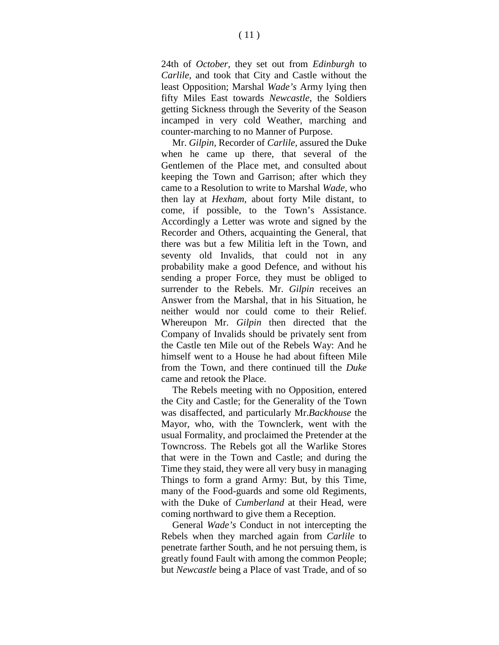24th of *October,* they set out from *Edinburgh* to *Carlile,* and took that City and Castle without the least Opposition; Marshal *Wade's* Army lying then fifty Miles East towards *Newcastle,* the Soldiers getting Sickness through the Severity of the Season incamped in very cold Weather, marching and counter-marching to no Manner of Purpose.

Mr. *Gilpin,* Recorder of *Carlile,* assured the Duke when he came up there, that several of the Gentlemen of the Place met, and consulted about keeping the Town and Garrison; after which they came to a Resolution to write to Marshal *Wade,* who then lay at *Hexham,* about forty Mile distant, to come, if possible, to the Town's Assistance. Accordingly a Letter was wrote and signed by the Recorder and Others, acquainting the General, that there was but a few Militia left in the Town, and seventy old Invalids, that could not in any probability make a good Defence, and without his sending a proper Force, they must be obliged to surrender to the Rebels. Mr. *Gilpin* receives an Answer from the Marshal, that in his Situation, he neither would nor could come to their Relief. Whereupon Mr. *Gilpin* then directed that the Company of Invalids should be privately sent from the Castle ten Mile out of the Rebels Way: And he himself went to a House he had about fifteen Mile from the Town, and there continued till the *Duke*  came and retook the Place.

The Rebels meeting with no Opposition, entered the City and Castle; for the Generality of the Town was disaffected, and particularly Mr.*Backhouse* the Mayor, who, with the Townclerk, went with the usual Formality, and proclaimed the Pretender at the Towncross. The Rebels got all the Warlike Stores that were in the Town and Castle; and during the Time they staid, they were all very busy in managing Things to form a grand Army: But, by this Time, many of the Food-guards and some old Regiments, with the Duke of *Cumberland* at their Head, were coming northward to give them a Reception.

General *Wade's* Conduct in not intercepting the Rebels when they marched again from *Carlile* to penetrate farther South, and he not persuing them, is greatly found Fault with among the common People; but *Newcastle* being a Place of vast Trade, and of so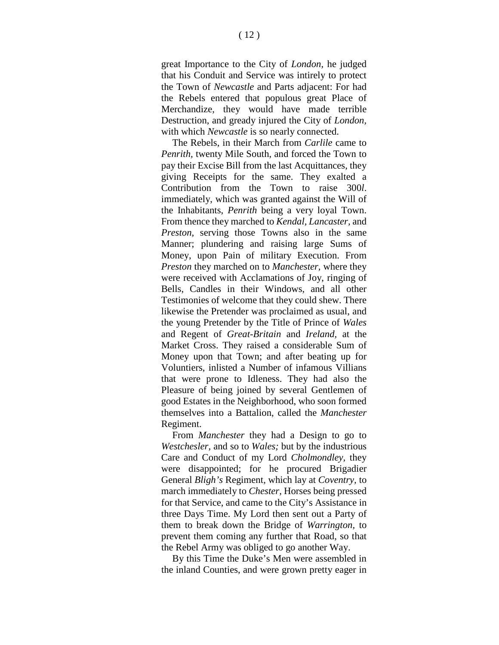great Importance to the City of *London,* he judged that his Conduit and Service was intirely to protect the Town of *Newcastle* and Parts adjacent: For had the Rebels entered that populous great Place of Merchandize, they would have made terrible Destruction, and gready injured the City of *London,*  with which *Newcastle* is so nearly connected.

The Rebels, in their March from *Carlile* came to *Penrith,* twenty Mile South, and forced the Town to pay their Excise Bill from the last Acquittances, they giving Receipts for the same. They exalted a Contribution from the Town to raise 300*l*. immediately, which was granted against the Will of the Inhabitants, *Penrith* being a very loyal Town. From thence they marched to *Kendal, Lancaster,* and *Preston,* serving those Towns also in the same Manner; plundering and raising large Sums of Money, upon Pain of military Execution. From *Preston* they marched on to *Manchester,* where they were received with Acclamations of Joy, ringing of Bells, Candles in their Windows, and all other Testimonies of welcome that they could shew. There likewise the Pretender was proclaimed as usual, and the young Pretender by the Title of Prince of *Wales*  and Regent of *Great-Britain* and *Ireland,* at the Market Cross. They raised a considerable Sum of Money upon that Town; and after beating up for Voluntiers, inlisted a Number of infamous Villians that were prone to Idleness. They had also the Pleasure of being joined by several Gentlemen of good Estates in the Neighborhood, who soon formed themselves into a Battalion, called the *Manchester*  Regiment.

From *Manchester* they had a Design to go to *Westchesler,* and so to *Wales;* but by the industrious Care and Conduct of my Lord *Cholmondley,* they were disappointed; for he procured Brigadier General *Bligh's* Regiment, which lay at *Coventry,* to march immediately to *Chester,* Horses being pressed for that Service, and came to the City's Assistance in three Days Time. My Lord then sent out a Party of them to break down the Bridge of *Warrington,* to prevent them coming any further that Road, so that the Rebel Army was obliged to go another Way.

By this Time the Duke's Men were assembled in the inland Counties, and were grown pretty eager in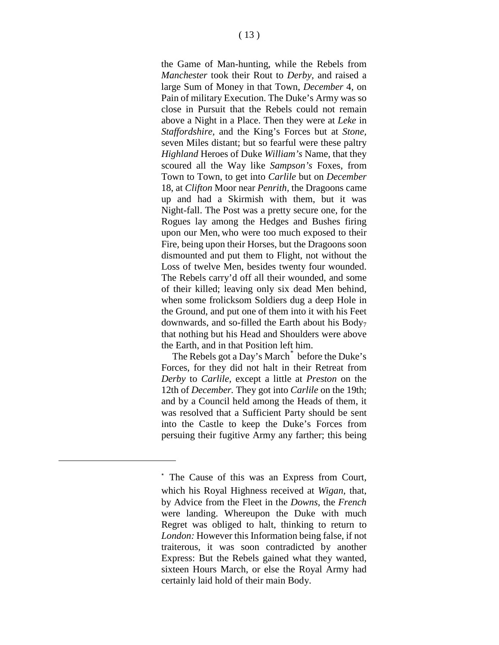the Game of Man-hunting, while the Rebels from *Manchester* took their Rout to *Derby,* and raised a large Sum of Money in that Town, *December* 4, on Pain of military Execution. The Duke's Army was so close in Pursuit that the Rebels could not remain above a Night in a Place. Then they were at *Leke* in *Staffordshire,* and the King's Forces but at *Stone,* seven Miles distant; but so fearful were these paltry *Highland* Heroes of Duke *William's* Name, that they scoured all the Way like *Sampson's* Foxes, from Town to Town, to get into *Carlile* but on *December*  18, at *Clifton* Moor near *Penrith,* the Dragoons came up and had a Skirmish with them, but it was Night-fall. The Post was a pretty secure one, for the Rogues lay among the Hedges and Bushes firing upon our Men, who were too much exposed to their Fire, being upon their Horses, but the Dragoons soon dismounted and put them to Flight, not without the Loss of twelve Men, besides twenty four wounded. The Rebels carry'd off all their wounded, and some of their killed; leaving only six dead Men behind, when some frolicksom Soldiers dug a deep Hole in the Ground, and put one of them into it with his Feet downwards, and so-filled the Earth about his Body7 that nothing but his Head and Shoulders were above the Earth, and in that Position left him.

The Rebels got a Day's March<sup>[\\*](#page-12-0)</sup> before the Duke's Forces, for they did not halt in their Retreat from *Derby* to *Carlile,* except a little at *Preston* on the 12th of *December.* They got into *Carlile* on the 19th; and by a Council held among the Heads of them, it was resolved that a Sufficient Party should be sent into the Castle to keep the Duke's Forces from persuing their fugitive Army any farther; this being

<span id="page-12-0"></span><sup>\*</sup> The Cause of this was an Express from Court, which his Royal Highness received at *Wigan,* that, by Advice from the Fleet in the *Downs,* the *French*  were landing. Whereupon the Duke with much Regret was obliged to halt, thinking to return to *London:* However this Information being false, if not traiterous, it was soon contradicted by another Express: But the Rebels gained what they wanted, sixteen Hours March, or else the Royal Army had certainly laid hold of their main Body.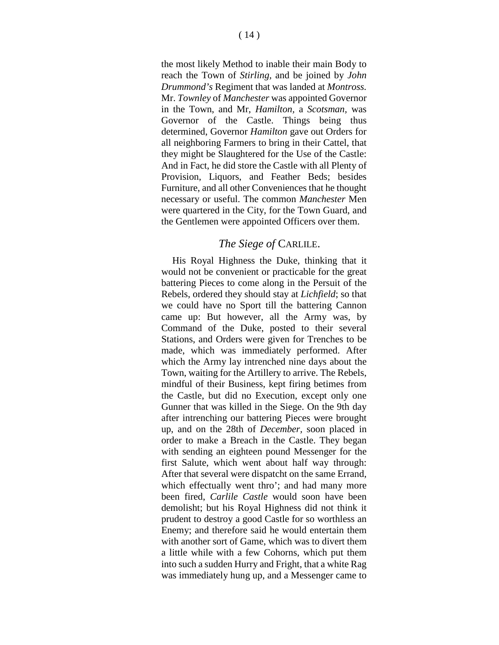the most likely Method to inable their main Body to reach the Town of *Stirling,* and be joined by *John Drummond's* Regiment that was landed at *Montross.*  Mr. *Townley* of *Manchester* was appointed Governor in the Town, and Mr, *Hamilton,* a *Scotsman,* was Governor of the Castle. Things being thus determined, Governor *Hamilton* gave out Orders for all neighboring Farmers to bring in their Cattel, that they might be Slaughtered for the Use of the Castle: And in Fact, he did store the Castle with all Plenty of Provision, Liquors, and Feather Beds; besides Furniture, and all other Conveniences that he thought necessary or useful. The common *Manchester* Men were quartered in the City, for the Town Guard, and the Gentlemen were appointed Officers over them.

#### *The Siege of* CARLILE.

His Royal Highness the Duke, thinking that it would not be convenient or practicable for the great battering Pieces to come along in the Persuit of the Rebels, ordered they should stay at *Lichfield*; so that we could have no Sport till the battering Cannon came up: But however, all the Army was, by Command of the Duke, posted to their several Stations, and Orders were given for Trenches to be made, which was immediately performed. After which the Army lay intrenched nine days about the Town, waiting for the Artillery to arrive. The Rebels, mindful of their Business, kept firing betimes from the Castle, but did no Execution, except only one Gunner that was killed in the Siege. On the 9th day after intrenching our battering Pieces were brought up, and on the 28th of *December,* soon placed in order to make a Breach in the Castle. They began with sending an eighteen pound Messenger for the first Salute, which went about half way through: After that several were dispatcht on the same Errand, which effectually went thro'; and had many more been fired, *Carlile Castle* would soon have been demolisht; but his Royal Highness did not think it prudent to destroy a good Castle for so worthless an Enemy; and therefore said he would entertain them with another sort of Game, which was to divert them a little while with a few Cohorns, which put them into such a sudden Hurry and Fright, that a white Rag was immediately hung up, and a Messenger came to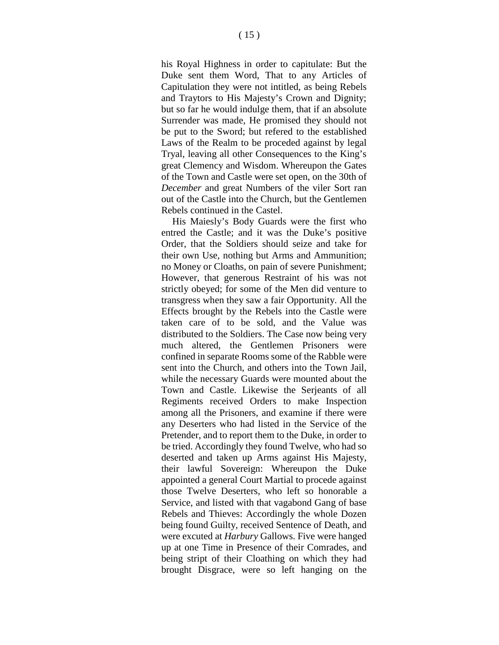his Royal Highness in order to capitulate: But the Duke sent them Word, That to any Articles of Capitulation they were not intitled, as being Rebels and Traytors to His Majesty's Crown and Dignity; but so far he would indulge them, that if an absolute Surrender was made, He promised they should not be put to the Sword; but refered to the established Laws of the Realm to be proceded against by legal Tryal, leaving all other Consequences to the King's great Clemency and Wisdom. Whereupon the Gates of the Town and Castle were set open, on the 30th of *December* and great Numbers of the viler Sort ran out of the Castle into the Church, but the Gentlemen Rebels continued in the Castel.

His Maiesly's Body Guards were the first who entred the Castle; and it was the Duke's positive Order, that the Soldiers should seize and take for their own Use, nothing but Arms and Ammunition; no Money or Cloaths, on pain of severe Punishment; However, that generous Restraint of his was not strictly obeyed; for some of the Men did venture to transgress when they saw a fair Opportunity. All the Effects brought by the Rebels into the Castle were taken care of to be sold, and the Value was distributed to the Soldiers. The Case now being very much altered, the Gentlemen Prisoners were confined in separate Rooms some of the Rabble were sent into the Church, and others into the Town Jail, while the necessary Guards were mounted about the Town and Castle. Likewise the Serjeants of all Regiments received Orders to make Inspection among all the Prisoners, and examine if there were any Deserters who had listed in the Service of the Pretender, and to report them to the Duke, in order to be tried. Accordingly they found Twelve, who had so deserted and taken up Arms against His Majesty, their lawful Sovereign: Whereupon the Duke appointed a general Court Martial to procede against those Twelve Deserters, who left so honorable a Service, and listed with that vagabond Gang of base Rebels and Thieves: Accordingly the whole Dozen being found Guilty, received Sentence of Death, and were excuted at *Harbury* Gallows. Five were hanged up at one Time in Presence of their Comrades, and being stript of their Cloathing on which they had brought Disgrace, were so left hanging on the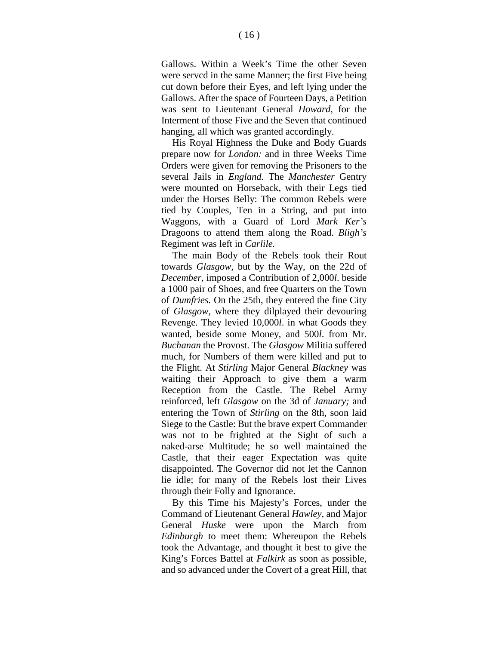Gallows. Within a Week's Time the other Seven were servcd in the same Manner; the first Five being cut down before their Eyes, and left lying under the Gallows. After the space of Fourteen Days, a Petition was sent to Lieutenant General *Howard,* for the Interment of those Five and the Seven that continued hanging, all which was granted accordingly.

His Royal Highness the Duke and Body Guards prepare now for *London:* and in three Weeks Time Orders were given for removing the Prisoners to the several Jails in *England.* The *Manchester* Gentry were mounted on Horseback, with their Legs tied under the Horses Belly: The common Rebels were tied by Couples, Ten in a String, and put into Waggons, with a Guard of Lord *Mark Ker's*  Dragoons to attend them along the Road. *Bligh's*  Regiment was left in *Carlile.*

The main Body of the Rebels took their Rout towards *Glasgow,* but by the Way, on the 22d of *December,* imposed a Contribution of 2,000*l*. beside a 1000 pair of Shoes, and free Quarters on the Town of *Dumfries.* On the 25th, they entered the fine City of *Glasgow,* where they dilplayed their devouring Revenge. They levied 10,000*l*. in what Goods they wanted, beside some Money, and 500*l*. from Mr. *Buchanan* the Provost. The *Glasgow* Militia suffered much, for Numbers of them were killed and put to the Flight. At *Stirling* Major General *Blackney* was waiting their Approach to give them a warm Reception from the Castle. The Rebel Army reinforced, left *Glasgow* on the 3d of *January;* and entering the Town of *Stirling* on the 8th, soon laid Siege to the Castle: But the brave expert Commander was not to be frighted at the Sight of such a naked-arse Multitude; he so well maintained the Castle, that their eager Expectation was quite disappointed. The Governor did not let the Cannon lie idle; for many of the Rebels lost their Lives through their Folly and Ignorance.

By this Time his Majesty's Forces, under the Command of Lieutenant General *Hawley,* and Major General *Huske* were upon the March from *Edinburgh* to meet them: Whereupon the Rebels took the Advantage, and thought it best to give the King's Forces Battel at *Falkirk* as soon as possible, and so advanced under the Covert of a great Hill, that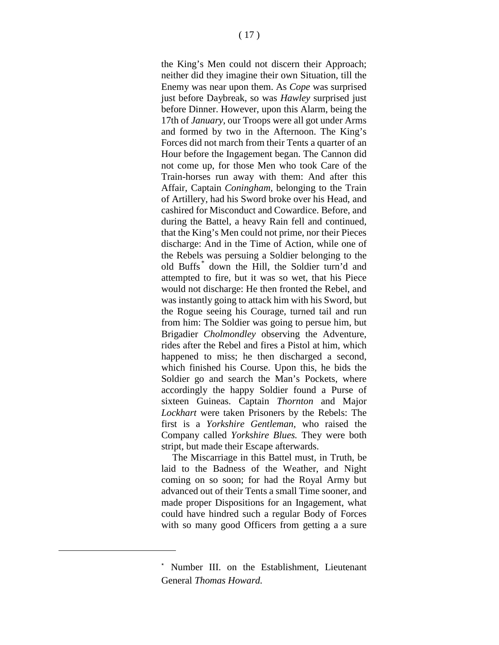the King's Men could not discern their Approach; neither did they imagine their own Situation, till the Enemy was near upon them. As *Cope* was surprised just before Daybreak, so was *Hawley* surprised just before Dinner. However, upon this Alarm, being the 17th of *January,* our Troops were all got under Arms and formed by two in the Afternoon. The King's Forces did not march from their Tents a quarter of an Hour before the Ingagement began. The Cannon did not come up, for those Men who took Care of the Train-horses run away with them: And after this Affair, Captain *Coningham,* belonging to the Train of Artillery, had his Sword broke over his Head, and cashired for Misconduct and Cowardice. Before, and during the Battel, a heavy Rain fell and continued, that the King's Men could not prime, nor their Pieces discharge: And in the Time of Action, while one of the Rebels was persuing a Soldier belonging to the old Buffs [\\*](#page-16-0) down the Hill, the Soldier turn'd and attempted to fire, but it was so wet, that his Piece would not discharge: He then fronted the Rebel, and was instantly going to attack him with his Sword, but the Rogue seeing his Courage, turned tail and run from him: The Soldier was going to persue him, but Brigadier *Cholmondley* observing the Adventure, rides after the Rebel and fires a Pistol at him, which happened to miss; he then discharged a second, which finished his Course. Upon this, he bids the Soldier go and search the Man's Pockets, where accordingly the happy Soldier found a Purse of sixteen Guineas. Captain *Thornton* and Major *Lockhart* were taken Prisoners by the Rebels: The first is a *Yorkshire Gentleman,* who raised the Company called *Yorkshire Blues.* They were both stript, but made their Escape afterwards.

The Miscarriage in this Battel must, in Truth, be laid to the Badness of the Weather, and Night coming on so soon; for had the Royal Army but advanced out of their Tents a small Time sooner, and made proper Dispositions for an Ingagement, what could have hindred such a regular Body of Forces with so many good Officers from getting a a sure

<span id="page-16-0"></span>Number III. on the Establishment, Lieutenant General *Thomas Howard.*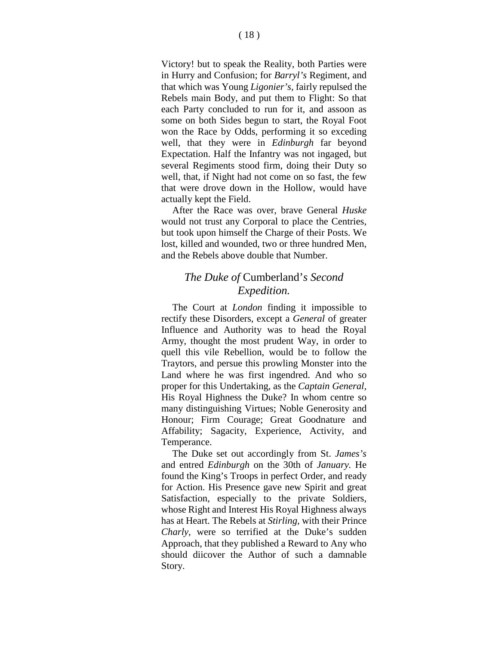Victory! but to speak the Reality, both Parties were in Hurry and Confusion; for *Barryl's* Regiment, and that which was Young *Ligonier's,* fairly repulsed the Rebels main Body, and put them to Flight: So that each Party concluded to run for it, and assoon as some on both Sides begun to start, the Royal Foot won the Race by Odds, performing it so exceding well, that they were in *Edinburgh* far beyond Expectation. Half the Infantry was not ingaged, but several Regiments stood firm, doing their Duty so well, that, if Night had not come on so fast, the few that were drove down in the Hollow, would have actually kept the Field.

After the Race was over, brave General *Huske*  would not trust any Corporal to place the Centries, but took upon himself the Charge of their Posts. We lost, killed and wounded, two or three hundred Men, and the Rebels above double that Number.

#### *The Duke of* Cumberland'*s Second Expedition.*

The Court at *London* finding it impossible to rectify these Disorders, except a *General* of greater Influence and Authority was to head the Royal Army, thought the most prudent Way, in order to quell this vile Rebellion, would be to follow the Traytors, and persue this prowling Monster into the Land where he was first ingendred. And who so proper for this Undertaking, as the *Captain General,*  His Royal Highness the Duke? In whom centre so many distinguishing Virtues; Noble Generosity and Honour; Firm Courage; Great Goodnature and Affability; Sagacity, Experience, Activity, and Temperance.

The Duke set out accordingly from St. *James's* and entred *Edinburgh* on the 30th of *January.* He found the King's Troops in perfect Order, and ready for Action. His Presence gave new Spirit and great Satisfaction, especially to the private Soldiers, whose Right and Interest His Royal Highness always has at Heart. The Rebels at *Stirling,* with their Prince *Charly,* were so terrified at the Duke's sudden Approach, that they published a Reward to Any who should diicover the Author of such a damnable Story.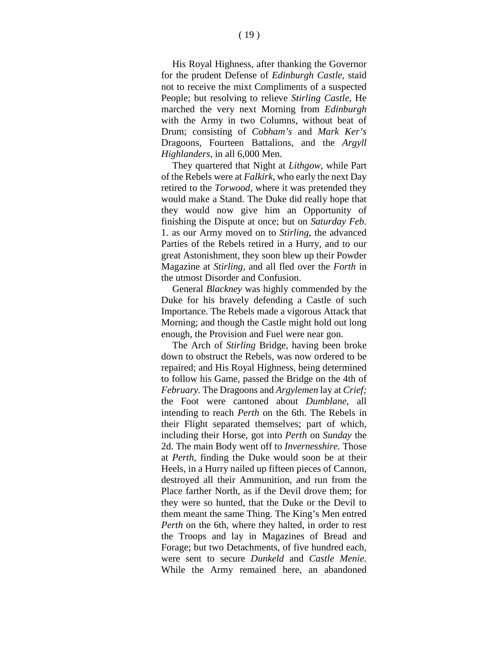His Royal Highness, after thanking the Governor for the prudent Defense of *Edinburgh Castle,* staid not to receive the mixt Compliments of a suspected People; but resolving to relieve *Stirling Castle,* He marched the very next Morning from *Edinburgh*  with the Army in two Columns, without beat of Drum; consisting of *Cobham's* and *Mark Ker's* Dragoons, Fourteen Battalions, and the *Argyll Highlanders,* in all 6,000 Men.

They quartered that Night at *Lithgow,* while Part of the Rebels were at *Falkirk,* who early the next Day retired to the *Torwood,* where it was pretended they would make a Stand. The Duke did really hope that they would now give him an Opportunity of finishing the Dispute at once; but on *Saturday Feb.*  1. as our Army moved on to *Stirling,* the advanced Parties of the Rebels retired in a Hurry, and to our great Astonishment, they soon blew up their Powder Magazine at *Stirling,* and all fled over the *Forth* in the utmost Disorder and Confusion.

General *Blackney* was highly commended by the Duke for his bravely defending a Castle of such Importance. The Rebels made a vigorous Attack that Morning; and though the Castle might hold out long enough, the Provision and Fuel were near gon.

The Arch of *Stirling* Bridge, having been broke down to obstruct the Rebels, was now ordered to be repaired; and His Royal Highness, being determined to follow his Game, passed the Bridge on the 4th of *February.* The Dragoons and *Argylemen* lay at *Crief;*  the Foot were cantoned about *Dumblane,* all intending to reach *Perth* on the 6th. The Rebels in their Flight separated themselves; part of which, including their Horse, got into *Perth* on *Sunday* the 2d. The main Body went off to *Invernesshire.* Those at *Perth,* finding the Duke would soon be at their Heels, in a Hurry nailed up fifteen pieces of Cannon, destroyed all their Ammunition, and run from the Place farther North, as if the Devil drove them; for they were so hunted, that the Duke or the Devil to them meant the same Thing. The King's Men entred *Perth* on the 6th, where they halted, in order to rest the Troops and lay in Magazines of Bread and Forage; but two Detachments, of five hundred each, were sent to secure *Dunkeld* and *Castle Menie.*  While the Army remained here, an abandoned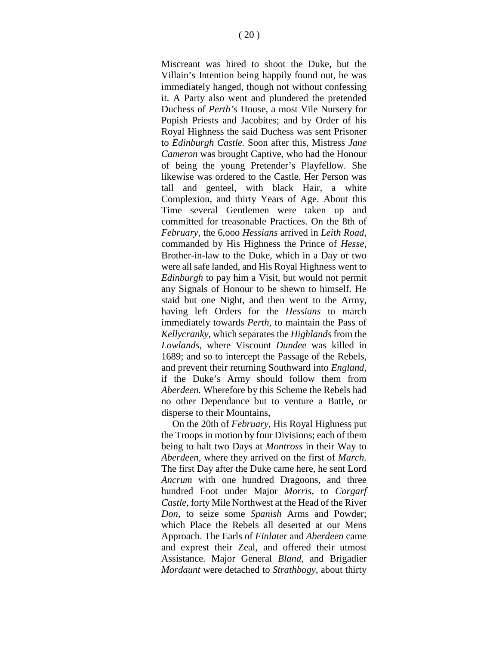Miscreant was hired to shoot the Duke, but the Villain's Intention being happily found out, he was immediately hanged, though not without confessing it. A Party also went and plundered the pretended Duchess of *Perth's* House, a most Vile Nursery for Popish Priests and Jacobites; and by Order of his Royal Highness the said Duchess was sent Prisoner to *Edinburgh Castle.* Soon after this, Mistress *Jane Cameron* was brought Captive, who had the Honour of being the young Pretender's Playfellow. She likewise was ordered to the Castle. Her Person was tall and genteel, with black Hair, a white Complexion, and thirty Years of Age. About this Time several Gentlemen were taken up and committed for treasonable Practices. On the 8th of *February,* the 6,ooo *Hessians* arrived in *Leith Road,*  commanded by His Highness the Prince of *Hesse,*  Brother-in-law to the Duke, which in a Day or two were all safe landed, and His Royal Highness went to *Edinburgh* to pay him a Visit, but would not permit any Signals of Honour to be shewn to himself. He staid but one Night, and then went to the Army, having left Orders for the *Hessians* to march immediately towards *Perth,* to maintain the Pass of *Kellycranky,* which separates the *Highlands* from the *Lowlands,* where Viscount *Dundee* was killed in 1689; and so to intercept the Passage of the Rebels, and prevent their returning Southward into *England,*  if the Duke's Army should follow them from *Aberdeen.* Wherefore by this Scheme the Rebels had no other Dependance but to venture a Battle, or disperse to their Mountains,

On the 20th of *February,* His Royal Highness put the Troops in motion by four Divisions; each of them being to halt two Days at *Montross* in their Way to *Aberdeen,* where they arrived on the first of *March.*  The first Day after the Duke came here, he sent Lord *Ancrum* with one hundred Dragoons, and three hundred Foot under Major *Morris,* to *Corgarf Castle,* forty Mile Northwest at the Head of the River *Don,* to seize some *Spanish* Arms and Powder; which Place the Rebels all deserted at our Mens Approach. The Earls of *Finlater* and *Aberdeen* came and exprest their Zeal, and offered their utmost Assistance. Major General *Bland,* and Brigadier *Mordaunt* were detached to *Strathbogy,* about thirty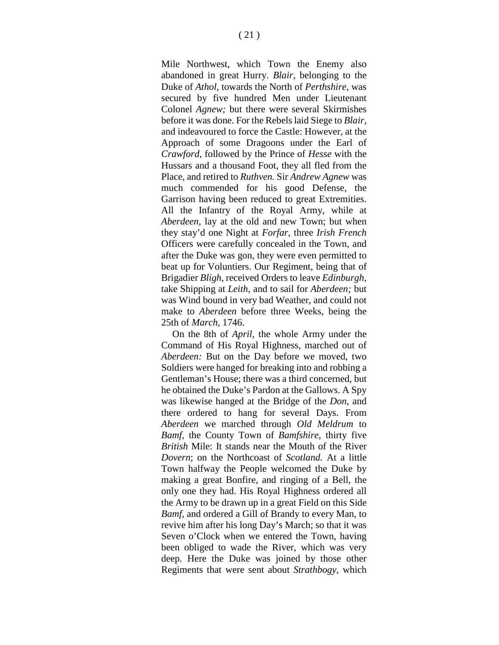Mile Northwest, which Town the Enemy also abandoned in great Hurry. *Blair,* belonging to the Duke of *Athol,* towards the North of *Perthshire,* was secured by five hundred Men under Lieutenant Colonel *Agnew;* but there were several Skirmishes before it was done. For the Rebels laid Siege to *Blair,* and indeavoured to force the Castle: However, at the Approach of some Dragoons under the Earl of *Crawford,* followed by the Prince of *Hesse* with the Hussars and a thousand Foot, they all fled from the Place, and retired to *Ruthven.* Sir *Andrew Agnew* was much commended for his good Defense, the Garrison having been reduced to great Extremities. All the Infantry of the Royal Army, while at *Aberdeen,* lay at the old and new Town; but when they stay'd one Night at *Forfar,* three *Irish French*  Officers were carefully concealed in the Town, and after the Duke was gon, they were even permitted to beat up for Voluntiers. Our Regiment, being that of Brigadier *Bligh,* received Orders to leave *Edinburgh,*  take Shipping at *Leith,* and to sail for *Aberdeen;* but was Wind bound in very bad Weather, and could not make to *Aberdeen* before three Weeks, being the 25th of *March,* 1746.

On the 8th of *April,* the whole Army under the Command of His Royal Highness, marched out of *Aberdeen:* But on the Day before we moved, two Soldiers were hanged for breaking into and robbing a Gentleman's House; there was a third concerned, but he obtained the Duke's Pardon at the Gallows. A Spy was likewise hanged at the Bridge of the *Don,* and there ordered to hang for several Days. From *Aberdeen* we marched through *Old Meldrum* to *Bamf,* the County Town of *Bamfshire,* thirty five *British* Mile: It stands near the Mouth of the River *Dovern*; on the Northcoast of *Scotland.* At a little Town halfway the People welcomed the Duke by making a great Bonfire, and ringing of a Bell, the only one they had. His Royal Highness ordered all the Army to be drawn up in a great Field on this Side *Bamf,* and ordered a Gill of Brandy to every Man, to revive him after his long Day's March; so that it was Seven o'Clock when we entered the Town, having been obliged to wade the River, which was very deep. Here the Duke was joined by those other Regiments that were sent about *Strathbogy,* which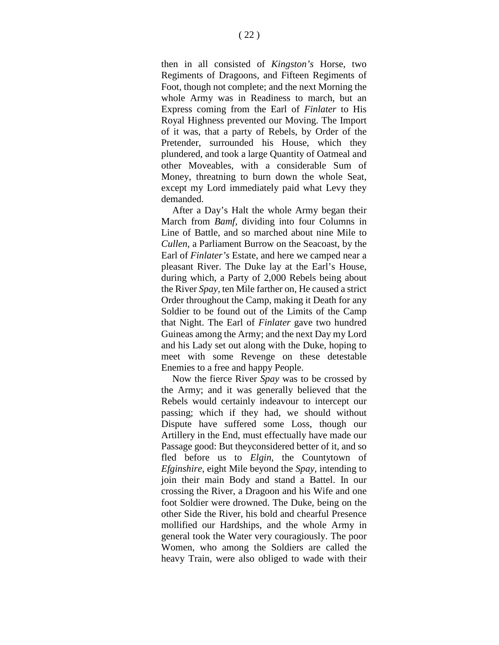then in all consisted of *Kingston's* Horse, two Regiments of Dragoons, and Fifteen Regiments of Foot, though not complete; and the next Morning the whole Army was in Readiness to march, but an Express coming from the Earl of *Finlater* to His Royal Highness prevented our Moving. The Import of it was, that a party of Rebels, by Order of the Pretender, surrounded his House, which they plundered, and took a large Quantity of Oatmeal and other Moveables, with a considerable Sum of Money, threatning to burn down the whole Seat, except my Lord immediately paid what Levy they demanded.

After a Day's Halt the whole Army began their March from *Bamf,* dividing into four Columns in Line of Battle, and so marched about nine Mile to *Cullen,* a Parliament Burrow on the Seacoast, by the Earl of *Finlater's* Estate, and here we camped near a pleasant River. The Duke lay at the Earl's House, during which, a Party of 2,000 Rebels being about the River *Spay,* ten Mile farther on, He caused a strict Order throughout the Camp, making it Death for any Soldier to be found out of the Limits of the Camp that Night. The Earl of *Finlater* gave two hundred Guineas among the Army; and the next Day my Lord and his Lady set out along with the Duke, hoping to meet with some Revenge on these detestable Enemies to a free and happy People.

Now the fierce River *Spay* was to be crossed by the Army; and it was generally believed that the Rebels would certainly indeavour to intercept our passing; which if they had, we should without Dispute have suffered some Loss, though our Artillery in the End, must effectually have made our Passage good: But theyconsidered better of it, and so fled before us to *Elgin,* the Countytown of *Efginshire,* eight Mile beyond the *Spay,* intending to join their main Body and stand a Battel. In our crossing the River, a Dragoon and his Wife and one foot Soldier were drowned. The Duke, being on the other Side the River, his bold and chearful Presence mollified our Hardships, and the whole Army in general took the Water very couragiously. The poor Women, who among the Soldiers are called the heavy Train, were also obliged to wade with their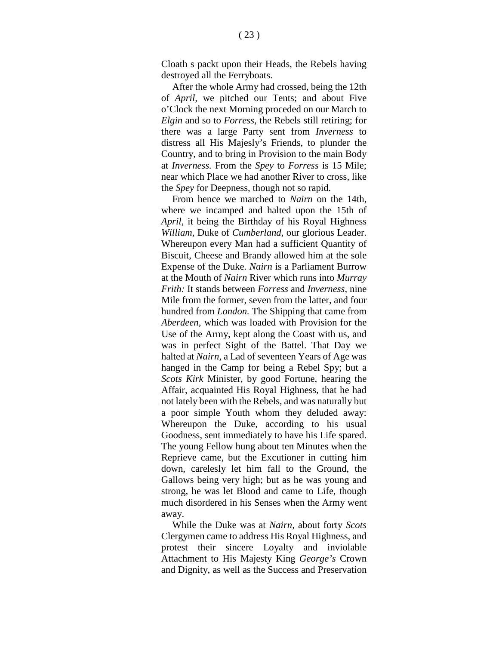$(23)$ 

Cloath s packt upon their Heads, the Rebels having destroyed all the Ferryboats.

After the whole Army had crossed, being the 12th of *April,* we pitched our Tents; and about Five o'Clock the next Morning proceded on our March to *Elgin* and so to *Forress,* the Rebels still retiring; for there was a large Party sent from *Inverness* to distress all His Majesly's Friends, to plunder the Country, and to bring in Provision to the main Body at *Inverness.* From the *Spey* to *Forress* is 15 Mile; near which Place we had another River to cross, like the *Spey* for Deepness, though not so rapid.

From hence we marched to *Nairn* on the 14th, where we incamped and halted upon the 15th of *April,* it being the Birthday of his Royal Highness *William,* Duke of *Cumberland,* our glorious Leader. Whereupon every Man had a sufficient Quantity of Biscuit, Cheese and Brandy allowed him at the sole Expense of the Duke. *Nairn* is a Parliament Burrow at the Mouth of *Nairn* River which runs into *Murray Frith:* It stands between *Forress* and *Inverness,* nine Mile from the former, seven from the latter, and four hundred from *London.* The Shipping that came from *Aberdeen,* which was loaded with Provision for the Use of the Army, kept along the Coast with us, and was in perfect Sight of the Battel. That Day we halted at *Nairn,* a Lad of seventeen Years of Age was hanged in the Camp for being a Rebel Spy; but a *Scots Kirk* Minister, by good Fortune, hearing the Affair, acquainted His Royal Highness, that he had not lately been with the Rebels, and was naturally but a poor simple Youth whom they deluded away: Whereupon the Duke, according to his usual Goodness, sent immediately to have his Life spared. The young Fellow hung about ten Minutes when the Reprieve came, but the Excutioner in cutting him down, carelesly let him fall to the Ground, the Gallows being very high; but as he was young and strong, he was let Blood and came to Life, though much disordered in his Senses when the Army went away.

While the Duke was at *Nairn,* about forty *Scots*  Clergymen came to address His Royal Highness, and protest their sincere Loyalty and inviolable Attachment to His Majesty King *George's* Crown and Dignity, as well as the Success and Preservation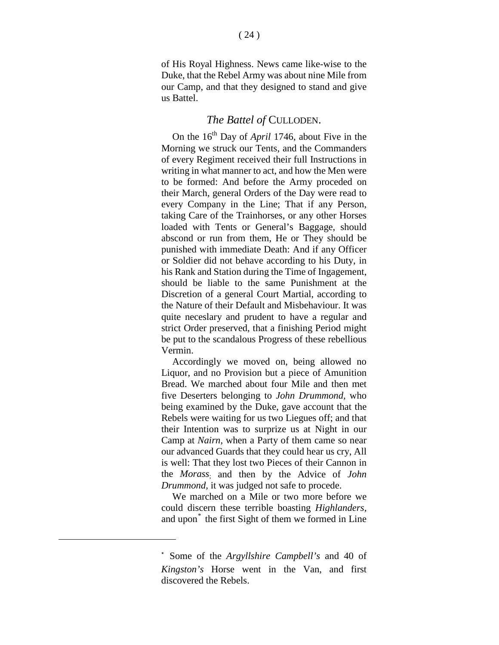of His Royal Highness. News came like-wise to the Duke, that the Rebel Army was about nine Mile from our Camp, and that they designed to stand and give us Battel.

#### *The Battel of* CULLODEN.

On the 16<sup>th</sup> Day of *April* 1746, about Five in the Morning we struck our Tents, and the Commanders of every Regiment received their full Instructions in writing in what manner to act, and how the Men were to be formed: And before the Army proceded on their March, general Orders of the Day were read to every Company in the Line; That if any Person, taking Care of the Trainhorses, or any other Horses loaded with Tents or General's Baggage, should abscond or run from them, He or They should be punished with immediate Death: And if any Officer or Soldier did not behave according to his Duty, in his Rank and Station during the Time of Ingagement, should be liable to the same Punishment at the Discretion of a general Court Martial, according to the Nature of their Default and Misbehaviour. It was quite neceslary and prudent to have a regular and strict Order preserved, that a finishing Period might be put to the scandalous Progress of these rebellious Vermin.

Accordingly we moved on, being allowed no Liquor, and no Provision but a piece of Amunition Bread. We marched about four Mile and then met five Deserters belonging to *John Drummond,* who being examined by the Duke, gave account that the Rebels were waiting for us two Liegues off; and that their Intention was to surprize us at Night in our Camp at *Nairn,* when a Party of them came so near our advanced Guards that they could hear us cry, All is well: That they lost two Pieces of their Cannon in the *Morass*; and then by the Advice of *John Drummond,* it was judged not safe to procede.

We marched on a Mile or two more before we could discern these terrible boasting *Highlanders,*  and upon<sup>[\\*](#page-23-0)</sup> the first Sight of them we formed in Line

<span id="page-23-0"></span><sup>\*</sup> Some of the *Argyllshire Campbell's* and 40 of *Kingston's* Horse went in the Van, and first discovered the Rebels.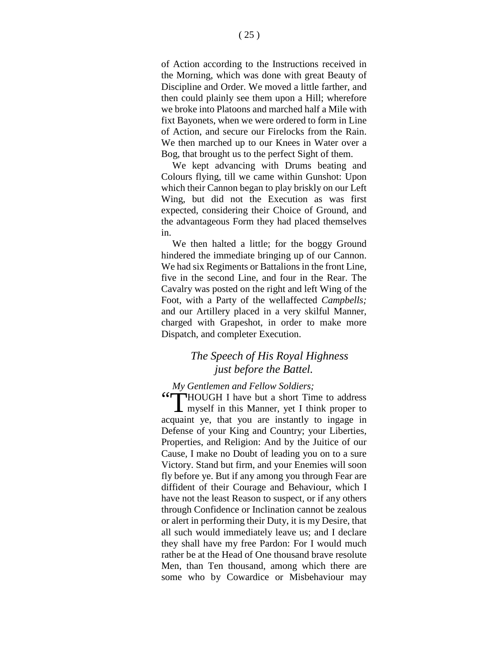of Action according to the Instructions received in the Morning, which was done with great Beauty of Discipline and Order. We moved a little farther, and then could plainly see them upon a Hill; wherefore we broke into Platoons and marched half a Mile with fixt Bayonets, when we were ordered to form in Line of Action, and secure our Firelocks from the Rain. We then marched up to our Knees in Water over a Bog, that brought us to the perfect Sight of them.

We kept advancing with Drums beating and Colours flying, till we came within Gunshot: Upon which their Cannon began to play briskly on our Left Wing, but did not the Execution as was first expected, considering their Choice of Ground, and the advantageous Form they had placed themselves in.

We then halted a little; for the boggy Ground hindered the immediate bringing up of our Cannon. We had six Regiments or Battalions in the front Line, five in the second Line, and four in the Rear. The Cavalry was posted on the right and left Wing of the Foot, with a Party of the wellaffected *Campbells;* and our Artillery placed in a very skilful Manner, charged with Grapeshot, in order to make more Dispatch, and completer Execution.

#### *The Speech of His Royal Highness just before the Battel.*

#### *My Gentlemen and Fellow Soldiers;*

"HOUGH I have but a short Time to address<br>myself in this Manner, yet I think proper to myself in this Manner, yet I think proper to acquaint ye, that you are instantly to ingage in Defense of your King and Country; your Liberties, Properties, and Religion: And by the Juitice of our Cause, I make no Doubt of leading you on to a sure Victory. Stand but firm, and your Enemies will soon fly before ye. But if any among you through Fear are diffident of their Courage and Behaviour, which I have not the least Reason to suspect, or if any others through Confidence or Inclination cannot be zealous or alert in performing their Duty, it is my Desire, that all such would immediately leave us; and I declare they shall have my free Pardon: For I would much rather be at the Head of One thousand brave resolute Men, than Ten thousand, among which there are some who by Cowardice or Misbehaviour may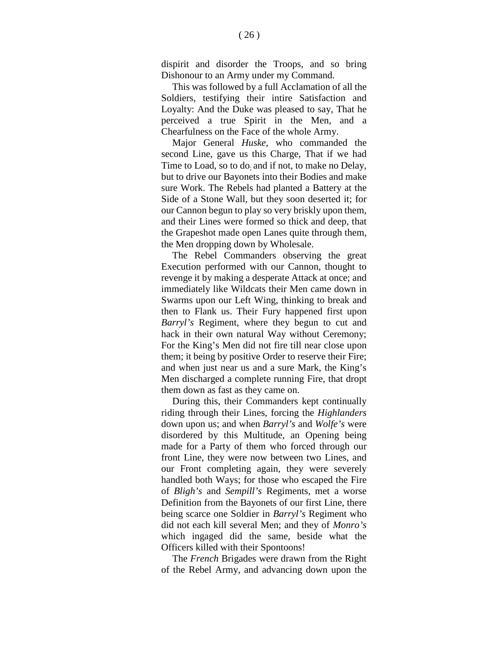Dishonour to an Army under my Command. This was followed by a full Acclamation of all the Soldiers, testifying their intire Satisfaction and Loyalty: And the Duke was pleased to say, That he perceived a true Spirit in the Men, and a Chearfulness on the Face of the whole Army.

Major General *Huske,* who commanded the second Line, gave us this Charge, That if we had Time to Load, so to do; and if not, to make no Delay, but to drive our Bayonets into their Bodies and make sure Work. The Rebels had planted a Battery at the Side of a Stone Wall, but they soon deserted it; for our Cannon begun to play so very briskly upon them, and their Lines were formed so thick and deep, that the Grapeshot made open Lanes quite through them, the Men dropping down by Wholesale.

The Rebel Commanders observing the great Execution performed with our Cannon, thought to revenge it by making a desperate Attack at once; and immediately like Wildcats their Men came down in Swarms upon our Left Wing, thinking to break and then to Flank us. Their Fury happened first upon *Barryl's* Regiment, where they begun to cut and hack in their own natural Way without Ceremony; For the King's Men did not fire till near close upon them; it being by positive Order to reserve their Fire; and when just near us and a sure Mark, the King's Men discharged a complete running Fire, that dropt them down as fast as they came on.

During this, their Commanders kept continually riding through their Lines, forcing the *Highlanders*  down upon us; and when *Barryl's* and *Wolfe's* were disordered by this Multitude, an Opening being made for a Party of them who forced through our front Line, they were now between two Lines, and our Front completing again, they were severely handled both Ways; for those who escaped the Fire of *Bligh's* and *Sempill's* Regiments, met a worse Definition from the Bayonets of our first Line, there being scarce one Soldier in *Barryl's* Regiment who did not each kill several Men; and they of *Monro's*  which ingaged did the same, beside what the Officers killed with their Spontoons!

The *French* Brigades were drawn from the Right of the Rebel Army, and advancing down upon the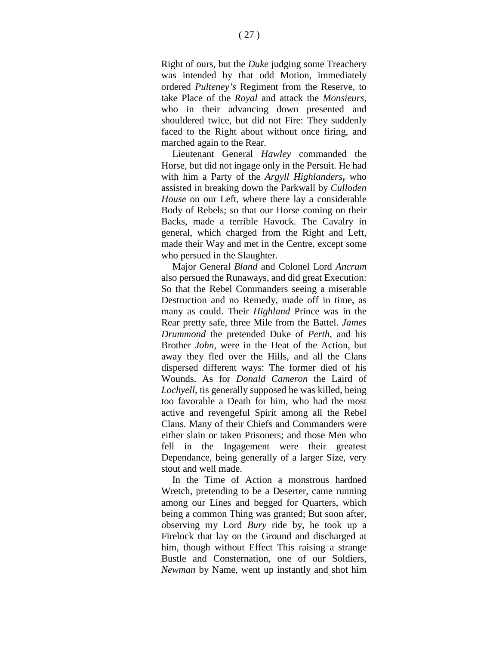Right of ours, but the *Duke* judging some Treachery was intended by that odd Motion, immediately ordered *Pulteney's* Regiment from the Reserve, to take Place of the *Royal* and attack the *Monsieurs,*  who in their advancing down presented and shouldered twice, but did not Fire: They suddenly faced to the Right about without once firing, and marched again to the Rear.

Lieutenant General *Hawley* commanded the Horse, but did not ingage only in the Persuit. He had with him a Party of the *Argyll Highlandersy* who assisted in breaking down the Parkwall by *Culloden House* on our Left, where there lay a considerable Body of Rebels; so that our Horse coming on their Backs, made a terrible Havock. The Cavalry in general, which charged from the Right and Left, made their Way and met in the Centre, except some who persued in the Slaughter.

Major General *Bland* and Colonel Lord *Ancrum*  also persued the Runaways, and did great Execution: So that the Rebel Commanders seeing a miserable Destruction and no Remedy, made off in time, as many as could. Their *Highland* Prince was in the Rear pretty safe, three Mile from the Battel. *James Drummond* the pretended Duke of *Perth,* and his Brother *John,* were in the Heat of the Action, but away they fled over the Hills, and all the Clans dispersed different ways: The former died of his Wounds. As for *Donald Cameron* the Laird of *Lochyell,* tis generally supposed he was killed, being too favorable a Death for him, who had the most active and revengeful Spirit among all the Rebel Clans. Many of their Chiefs and Commanders were either slain or taken Prisoners; and those Men who fell in the Ingagement were their greatest Dependance, being generally of a larger Size, very stout and well made.

In the Time of Action a monstrous hardned Wretch, pretending to be a Deserter, came running among our Lines and begged for Quarters, which being a common Thing was granted; But soon after, observing my Lord *Bury* ride by, he took up a Firelock that lay on the Ground and discharged at him, though without Effect This raising a strange Bustle and Consternation, one of our Soldiers, *Newman* by Name, went up instantly and shot him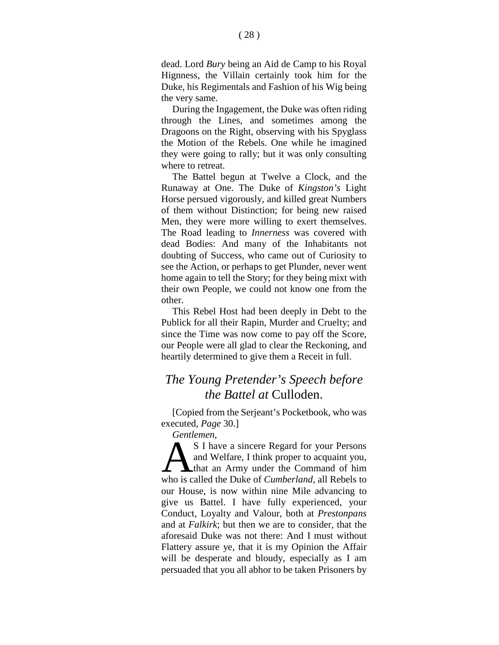dead. Lord *Bury* being an Aid de Camp to his Royal Hignness, the Villain certainly took him for the Duke, his Regimentals and Fashion of his Wig being the very same.

During the Ingagement, the Duke was often riding through the Lines, and sometimes among the Dragoons on the Right, observing with his Spyglass the Motion of the Rebels. One while he imagined they were going to rally; but it was only consulting where to retreat.

The Battel begun at Twelve a Clock, and the Runaway at One. The Duke of *Kingston's* Light Horse persued vigorously, and killed great Numbers of them without Distinction; for being new raised Men, they were more willing to exert themselves. The Road leading to *Innerness* was covered with dead Bodies: And many of the Inhabitants not doubting of Success, who came out of Curiosity to see the Action, or perhaps to get Plunder, never went home again to tell the Story; for they being mixt with their own People, we could not know one from the other.

This Rebel Host had been deeply in Debt to the Publick for all their Rapin, Murder and Cruelty; and since the Time was now come to pay off the Score, our People were all glad to clear the Reckoning, and heartily determined to give them a Receit in full.

### *The Young Pretender's Speech before the Battel at* Culloden.

[Copied from the Serjeant's Pocketbook, who was executed, *Page* 30.]

*Gentlemen,*

S I have a sincere Regard for your Persons and Welfare, I think proper to acquaint you, **A** that an Army under the Command of him S I have a sincere Regard for your Persons<br>and Welfare, I think proper to acquaint you,<br>that an Army under the Command of him<br>who is called the Duke of *Cumberland*, all Rebels to our House, is now within nine Mile advancing to give us Battel. I have fully experienced, your Conduct, Loyalty and Valour, both at *Prestonpans*  and at *Falkirk*; but then we are to consider, that the aforesaid Duke was not there: And I must without Flattery assure ye, that it is my Opinion the Affair will be desperate and bloudy, especially as I am persuaded that you all abhor to be taken Prisoners by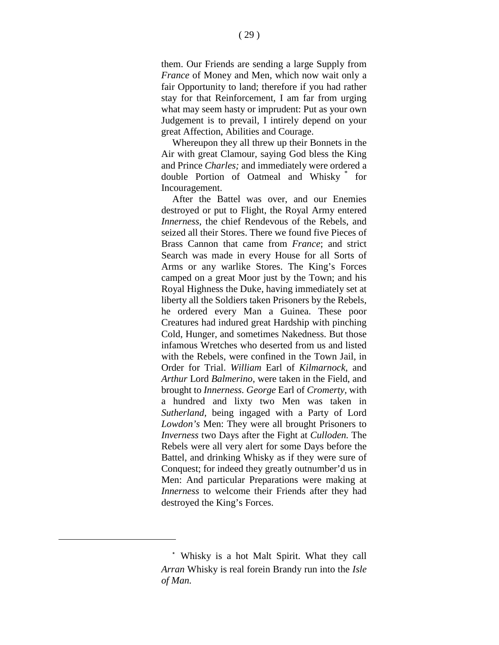them. Our Friends are sending a large Supply from *France* of Money and Men, which now wait only a fair Opportunity to land; therefore if you had rather stay for that Reinforcement, I am far from urging what may seem hasty or imprudent: Put as your own Judgement is to prevail, I intirely depend on your great Affection, Abilities and Courage.

Whereupon they all threw up their Bonnets in the Air with great Clamour, saying God bless the King and Prince *Charles;* and immediately were ordered a double Portion of Oatmeal and Whisky [\\*](#page-28-0) for Incouragement.

After the Battel was over, and our Enemies destroyed or put to Flight, the Royal Army entered *Innerness,* the chief Rendevous of the Rebels, and seized all their Stores. There we found five Pieces of Brass Cannon that came from *France*; and strict Search was made in every House for all Sorts of Arms or any warlike Stores. The King's Forces camped on a great Moor just by the Town; and his Royal Highness the Duke, having immediately set at liberty all the Soldiers taken Prisoners by the Rebels, he ordered every Man a Guinea. These poor Creatures had indured great Hardship with pinching Cold, Hunger, and sometimes Nakedness. But those infamous Wretches who deserted from us and listed with the Rebels, were confined in the Town Jail, in Order for Trial. *William* Earl of *Kilmarnock,* and *Arthur* Lord *Balmerino,* were taken in the Field, and brought to *Innerness. George* Earl of *Cromerty,* with a hundred and lixty two Men was taken in *Sutherland,* being ingaged with a Party of Lord *Lowdon's* Men: They were all brought Prisoners to *Inverness* two Days after the Fight at *Culloden.* The Rebels were all very alert for some Days before the Battel, and drinking Whisky as if they were sure of Conquest; for indeed they greatly outnumber'd us in Men: And particular Preparations were making at *Innerness* to welcome their Friends after they had destroyed the King's Forces.

<span id="page-28-0"></span><sup>\*</sup> Whisky is a hot Malt Spirit. What they call *Arran* Whisky is real forein Brandy run into the *Isle of Man.*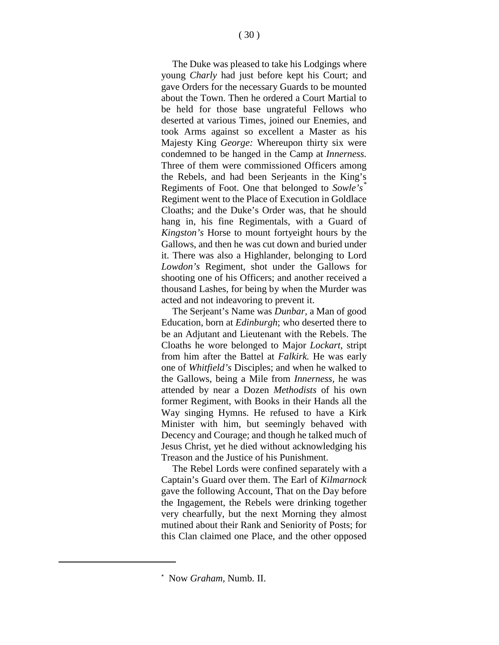The Duke was pleased to take his Lodgings where young *Charly* had just before kept his Court; and gave Orders for the necessary Guards to be mounted about the Town. Then he ordered a Court Martial to be held for those base ungrateful Fellows who deserted at various Times, joined our Enemies, and took Arms against so excellent a Master as his Majesty King *George:* Whereupon thirty six were condemned to be hanged in the Camp at *Innerness.*  Three of them were commissioned Officers among the Rebels, and had been Serjeants in the King's Regiments of Foot. One that belonged to *Sowle's [\\*](#page-29-0)* Regiment went to the Place of Execution in Goldlace Cloaths; and the Duke's Order was, that he should hang in, his fine Regimentals, with a Guard of *Kingston's* Horse to mount fortyeight hours by the Gallows, and then he was cut down and buried under it. There was also a Highlander, belonging to Lord *Lowdon's* Regiment, shot under the Gallows for shooting one of his Officers; and another received a thousand Lashes, for being by when the Murder was acted and not indeavoring to prevent it.

The Serjeant's Name was *Dunbar,* a Man of good Education, born at *Edinburgh*; who deserted there to be an Adjutant and Lieutenant with the Rebels. The Cloaths he wore belonged to Major *Lockart,* stript from him after the Battel at *Falkirk.* He was early one of *Whitfield's* Disciples; and when he walked to the Gallows, being a Mile from *Innerness,* he was attended by near a Dozen *Methodists* of his own former Regiment, with Books in their Hands all the Way singing Hymns. He refused to have a Kirk Minister with him, but seemingly behaved with Decency and Courage; and though he talked much of Jesus Christ, yet he died without acknowledging his Treason and the Justice of his Punishment.

The Rebel Lords were confined separately with a Captain's Guard over them. The Earl of *Kilmarnock*  gave the following Account, That on the Day before the Ingagement, the Rebels were drinking together very chearfully, but the next Morning they almost mutined about their Rank and Seniority of Posts; for this Clan claimed one Place, and the other opposed

<span id="page-29-0"></span><sup>\*</sup> Now *Graham,* Numb. II.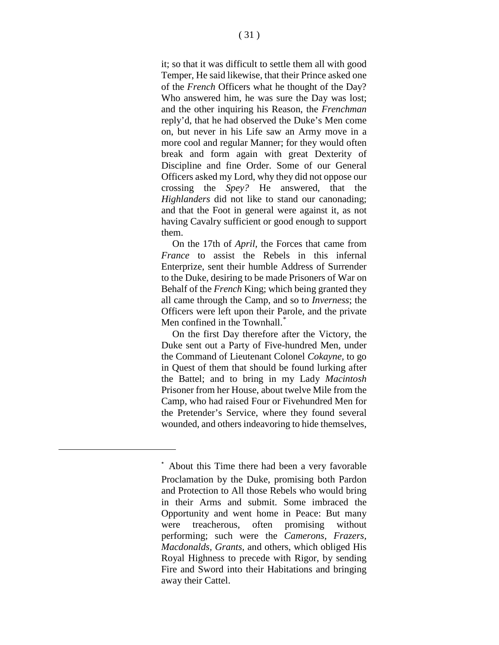it; so that it was difficult to settle them all with good Temper, He said likewise, that their Prince asked one of the *French* Officers what he thought of the Day? Who answered him, he was sure the Day was lost; and the other inquiring his Reason, the *Frenchman*  reply'd, that he had observed the Duke's Men come on, but never in his Life saw an Army move in a more cool and regular Manner; for they would often break and form again with great Dexterity of Discipline and fine Order. Some of our General Officers asked my Lord, why they did not oppose our crossing the *Spey?* He answered, that the *Highlanders* did not like to stand our canonading; and that the Foot in general were against it, as not having Cavalry sufficient or good enough to support them.

On the 17th of *April,* the Forces that came from *France* to assist the Rebels in this infernal Enterprize, sent their humble Address of Surrender to the Duke, desiring to be made Prisoners of War on Behalf of the *French* King; which being granted they all came through the Camp, and so to *Inverness*; the Officers were left upon their Parole, and the private Men confined in the Townhall.<sup>[\\*](#page-30-0)</sup>

On the first Day therefore after the Victory, the Duke sent out a Party of Five-hundred Men, under the Command of Lieutenant Colonel *Cokayne,* to go in Quest of them that should be found lurking after the Battel; and to bring in my Lady *Macintosh*  Prisoner from her House, about twelve Mile from the Camp, who had raised Four or Fivehundred Men for the Pretender's Service, where they found several wounded, and others indeavoring to hide themselves,

<span id="page-30-0"></span><sup>\*</sup> About this Time there had been a very favorable Proclamation by the Duke, promising both Pardon and Protection to All those Rebels who would bring in their Arms and submit. Some imbraced the Opportunity and went home in Peace: But many were treacherous, often promising without performing; such were the *Camerons, Frazers, Macdonalds, Grants,* and others, which obliged His Royal Highness to precede with Rigor, by sending Fire and Sword into their Habitations and bringing away their Cattel.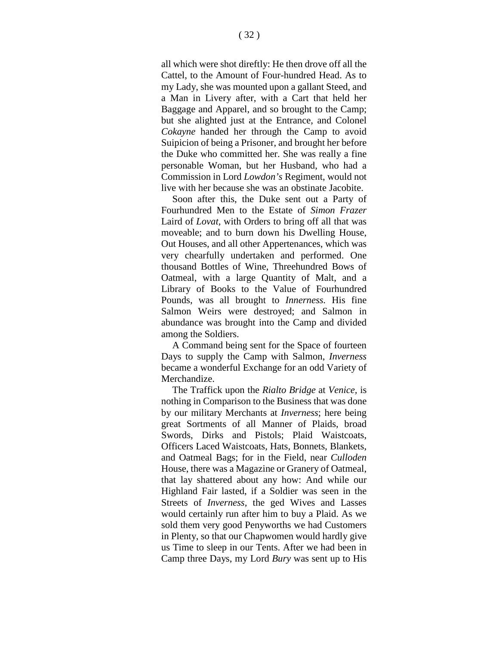all which were shot direftly: He then drove off all the Cattel, to the Amount of Four-hundred Head. As to my Lady, she was mounted upon a gallant Steed, and a Man in Livery after, with a Cart that held her Baggage and Apparel, and so brought to the Camp; but she alighted just at the Entrance, and Colonel *Cokayne* handed her through the Camp to avoid Suipicion of being a Prisoner, and brought her before the Duke who committed her. She was really a fine personable Woman, but her Husband, who had a Commission in Lord *Lowdon's* Regiment, would not live with her because she was an obstinate Jacobite.

Soon after this, the Duke sent out a Party of Fourhundred Men to the Estate of *Simon Frazer*  Laird of *Lovat,* with Orders to bring off all that was moveable; and to burn down his Dwelling House, Out Houses, and all other Appertenances, which was very chearfully undertaken and performed. One thousand Bottles of Wine, Threehundred Bows of Oatmeal, with a large Quantity of Malt, and a Library of Books to the Value of Fourhundred Pounds, was all brought to *Innerness.* His fine Salmon Weirs were destroyed; and Salmon in abundance was brought into the Camp and divided among the Soldiers.

A Command being sent for the Space of fourteen Days to supply the Camp with Salmon, *Inverness*  became a wonderful Exchange for an odd Variety of Merchandize.

The Traffick upon the *Rialto Bridge* at *Venice,* is nothing in Comparison to the Business that was done by our military Merchants at *Inverness*; here being great Sortments of all Manner of Plaids, broad Swords, Dirks and Pistols; Plaid Waistcoats, Officers Laced Waistcoats, Hats, Bonnets, Blankets, and Oatmeal Bags; for in the Field, near *Culloden*  House, there was a Magazine or Granery of Oatmeal, that lay shattered about any how: And while our Highland Fair lasted, if a Soldier was seen in the Streets of *Inverness,* the ged Wives and Lasses would certainly run after him to buy a Plaid. As we sold them very good Penyworths we had Customers in Plenty, so that our Chapwomen would hardly give us Time to sleep in our Tents. After we had been in Camp three Days, my Lord *Bury* was sent up to His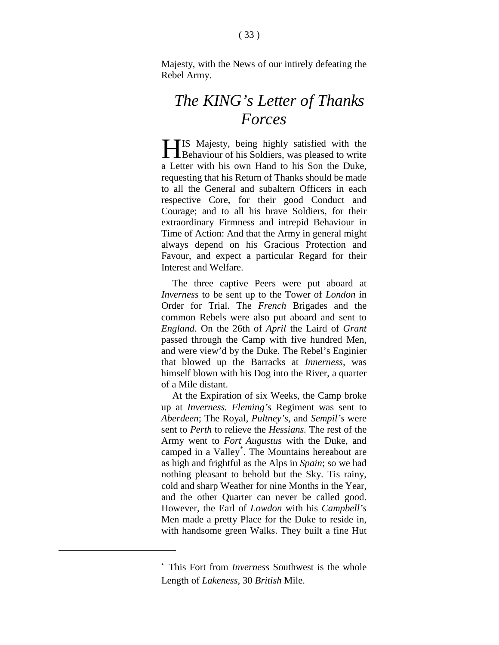Majesty, with the News of our intirely defeating the Rebel Army.

## *The KING's Letter of Thanks Forces*

IS Majesty, being highly satisfied with the **Hehaviour of his Soldiers, was pleased to write** a Letter with his own Hand to his Son the Duke, requesting that his Return of Thanks should be made to all the General and subaltern Officers in each respective Core, for their good Conduct and Courage; and to all his brave Soldiers, for their extraordinary Firmness and intrepid Behaviour in Time of Action: And that the Army in general might always depend on his Gracious Protection and Favour, and expect a particular Regard for their Interest and Welfare.

The three captive Peers were put aboard at *Inverness* to be sent up to the Tower of *London* in Order for Trial. The *French* Brigades and the common Rebels were also put aboard and sent to *England.* On the 26th of *April* the Laird of *Grant*  passed through the Camp with five hundred Men, and were view'd by the Duke. The Rebel's Enginier that blowed up the Barracks at *Innerness,* was himself blown with his Dog into the River, a quarter of a Mile distant.

At the Expiration of six Weeks, the Camp broke up at *Inverness. Fleming's* Regiment was sent to *Aberdeen*; The Royal, *Pultney's,* and *Sempil's* were sent to *Perth* to relieve the *Hessians.* The rest of the Army went to *Fort Augustus* with the Duke, and camped in a Valley[\\*](#page-32-0) . The Mountains hereabout are as high and frightful as the Alps in *Spain*; so we had nothing pleasant to behold but the Sky. Tis rainy, cold and sharp Weather for nine Months in the Year, and the other Quarter can never be called good. However, the Earl of *Lowdon* with his *Campbell's*  Men made a pretty Place for the Duke to reside in, with handsome green Walks. They built a fine Hut

<span id="page-32-0"></span><sup>\*</sup> This Fort from *Inverness* Southwest is the whole Length of *Lakeness,* 30 *British* Mile.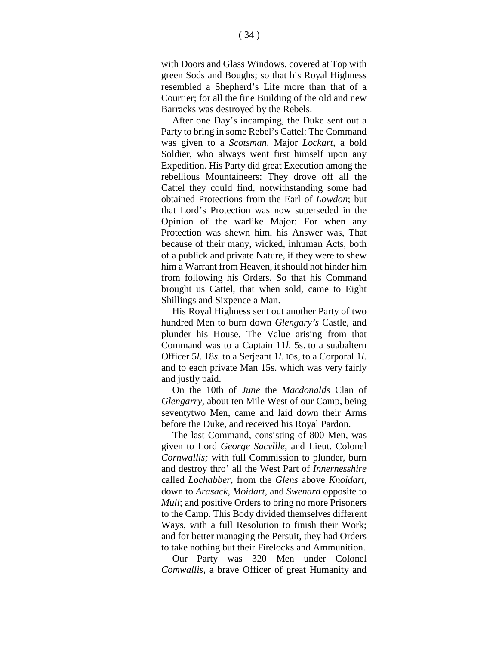with Doors and Glass Windows, covered at Top with green Sods and Boughs; so that his Royal Highness resembled a Shepherd's Life more than that of a Courtier; for all the fine Building of the old and new Barracks was destroyed by the Rebels.

After one Day's incamping, the Duke sent out a Party to bring in some Rebel's Cattel: The Command was given to a *Scotsman,* Major *Lockart,* a bold Soldier, who always went first himself upon any Expedition. His Party did great Execution among the rebellious Mountaineers: They drove off all the Cattel they could find, notwithstanding some had obtained Protections from the Earl of *Lowdon*; but that Lord's Protection was now superseded in the Opinion of the warlike Major: For when any Protection was shewn him, his Answer was, That because of their many, wicked, inhuman Acts, both of a publick and private Nature, if they were to shew him a Warrant from Heaven, it should not hinder him from following his Orders. So that his Command brought us Cattel, that when sold, came to Eight Shillings and Sixpence a Man.

His Royal Highness sent out another Party of two hundred Men to burn down *Glengary's* Castle, and plunder his House. The Value arising from that Command was to a Captain 11*l*. 5s. to a suabaltern Officer 5*l*. 18*s.* to a Serjeant 1*l*. IOs, to a Corporal 1*l*. and to each private Man 15s. which was very fairly and justly paid.

On the 10th of *June* the *Macdonalds* Clan of *Glengarry,* about ten Mile West of our Camp, being seventytwo Men, came and laid down their Arms before the Duke, and received his Royal Pardon.

The last Command, consisting of 800 Men, was given to Lord *George Sacvllle,* and Lieut. Colonel *Cornwallis;* with full Commission to plunder, burn and destroy thro' all the West Part of *Innernesshire*  called *Lochabber,* from the *Glens* above *Knoidart,*  down to *Arasack, Moidart,* and *Swenard* opposite to *Mull*; and positive Orders to bring no more Prisoners to the Camp. This Body divided themselves different Ways, with a full Resolution to finish their Work; and for better managing the Persuit, they had Orders to take nothing but their Firelocks and Ammunition.

Our Party was 320 Men under Colonel *Comwallis,* a brave Officer of great Humanity and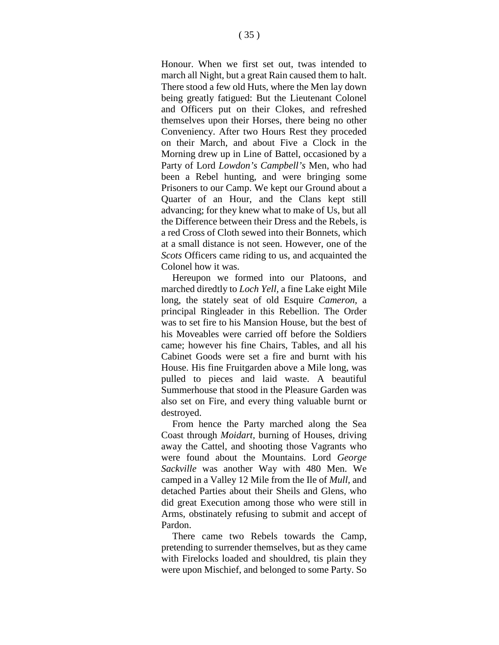Honour. When we first set out, twas intended to march all Night, but a great Rain caused them to halt. There stood a few old Huts, where the Men lay down being greatly fatigued: But the Lieutenant Colonel and Officers put on their Clokes, and refreshed themselves upon their Horses, there being no other Conveniency. After two Hours Rest they proceded on their March, and about Five a Clock in the Morning drew up in Line of Battel, occasioned by a Party of Lord *Lowdon's Campbell's* Men, who had been a Rebel hunting, and were bringing some Prisoners to our Camp. We kept our Ground about a Quarter of an Hour, and the Clans kept still advancing; for they knew what to make of Us, but all the Difference between their Dress and the Rebels, is a red Cross of Cloth sewed into their Bonnets, which at a small distance is not seen. However, one of the *Scots* Officers came riding to us, and acquainted the Colonel how it was.

Hereupon we formed into our Platoons, and marched diredtly to *Loch Yell,* a fine Lake eight Mile long, the stately seat of old Esquire *Cameron,* a principal Ringleader in this Rebellion. The Order was to set fire to his Mansion House, but the best of his Moveables were carried off before the Soldiers came; however his fine Chairs, Tables, and all his Cabinet Goods were set a fire and burnt with his House. His fine Fruitgarden above a Mile long, was pulled to pieces and laid waste. A beautiful Summerhouse that stood in the Pleasure Garden was also set on Fire, and every thing valuable burnt or destroyed.

From hence the Party marched along the Sea Coast through *Moidart,* burning of Houses, driving away the Cattel, and shooting those Vagrants who were found about the Mountains. Lord *George Sackville* was another Way with 480 Men. We camped in a Valley 12 Mile from the Ile of *Mull,* and detached Parties about their Sheils and Glens, who did great Execution among those who were still in Arms, obstinately refusing to submit and accept of Pardon.

There came two Rebels towards the Camp, pretending to surrender themselves, but as they came with Firelocks loaded and shouldred, tis plain they were upon Mischief, and belonged to some Party. So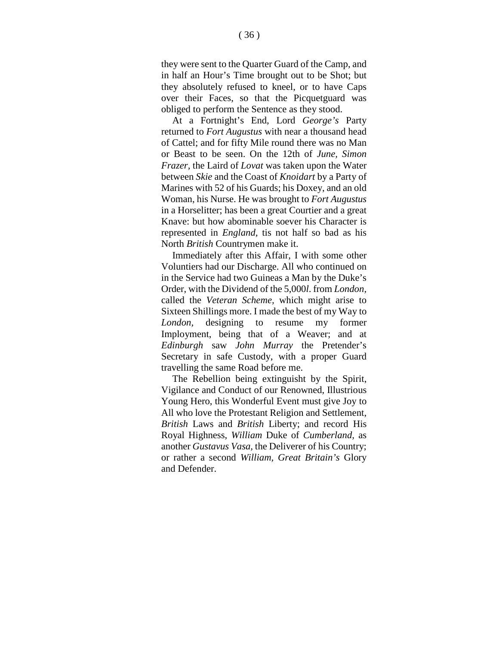they were sent to the Quarter Guard of the Camp, and in half an Hour's Time brought out to be Shot; but they absolutely refused to kneel, or to have Caps over their Faces, so that the Picquetguard was obliged to perform the Sentence as they stood.

At a Fortnight's End, Lord *George's* Party returned to *Fort Augustus* with near a thousand head of Cattel; and for fifty Mile round there was no Man or Beast to be seen. On the 12th of *June, Simon Frazer,* the Laird of *Lovat* was taken upon the Water between *Skie* and the Coast of *Knoidart* by a Party of Marines with 52 of his Guards; his Doxey, and an old Woman, his Nurse. He was brought to *Fort Augustus*  in a Horselitter; has been a great Courtier and a great Knave: but how abominable soever his Character is represented in *England,* tis not half so bad as his North *British* Countrymen make it.

Immediately after this Affair, I with some other Voluntiers had our Discharge. All who continued on in the Service had two Guineas a Man by the Duke's Order, with the Dividend of the 5,000*l*. from *London,*  called the *Veteran Scheme,* which might arise to Sixteen Shillings more. I made the best of my Way to *London,* designing to resume my former Imployment, being that of a Weaver; and at *Edinburgh* saw *John Murray* the Pretender's Secretary in safe Custody, with a proper Guard travelling the same Road before me.

The Rebellion being extinguisht by the Spirit, Vigilance and Conduct of our Renowned, Illustrious Young Hero, this Wonderful Event must give Joy to All who love the Protestant Religion and Settlement, *British* Laws and *British* Liberty; and record His Royal Highness, *William* Duke of *Cumberland,* as another *Gustavus Vasa,* the Deliverer of his Country; or rather a second *William, Great Britain's* Glory and Defender.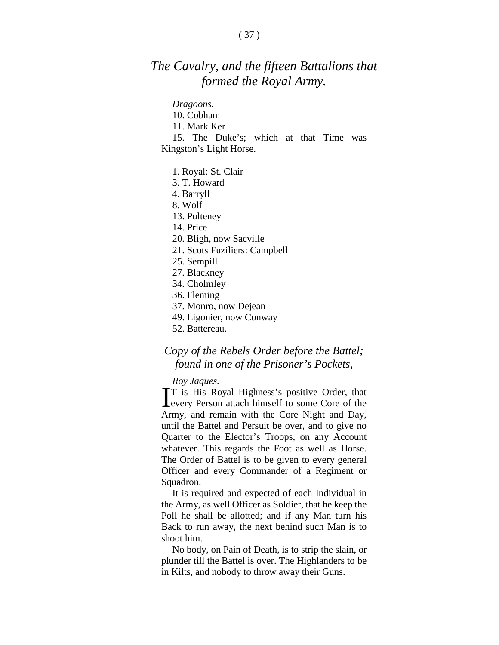### *The Cavalry, and the fifteen Battalions that formed the Royal Army.*

#### *Dragoons.*

- 10. Cobham
- 11. Mark Ker
- 15. The Duke's; which at that Time was Kingston's Light Horse.
	- 1. Royal: St. Clair
	- 3. T. Howard
	- 4. Barryll
	- 8. Wolf
	- 13. Pulteney
	- 14. Price
	- 20. Bligh, now Sacville
	- 21. Scots Fuziliers: Campbell
	- 25. Sempill
	- 27. Blackney
	- 34. Cholmley
	- 36. Fleming
	- 37. Monro, now Dejean
	- 49. Ligonier, now Conway
	- 52. Battereau.

#### *Copy of the Rebels Order before the Battel; found in one of the Prisoner's Pockets,*

#### *Roy Jaques.*

**T** is His Royal Highness's positive Order, that every Person attach himself to some Core of the **Levery Person attach himself to some Core of the** Army, and remain with the Core Night and Day, until the Battel and Persuit be over, and to give no Quarter to the Elector's Troops, on any Account whatever. This regards the Foot as well as Horse. The Order of Battel is to be given to every general Officer and every Commander of a Regiment or Squadron.

It is required and expected of each Individual in the Army, as well Officer as Soldier, that he keep the Poll he shall be allotted; and if any Man turn his Back to run away, the next behind such Man is to shoot him.

No body, on Pain of Death, is to strip the slain, or plunder till the Battel is over. The Highlanders to be in Kilts, and nobody to throw away their Guns.